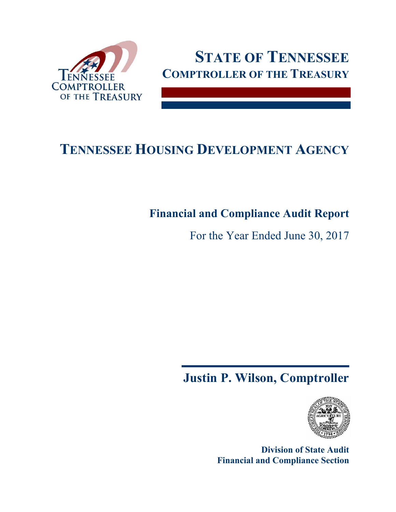



# **TENNESSEE HOUSING DEVELOPMENT AGENCY**

# **Financial and Compliance Audit Report**

For the Year Ended June 30, 2017

# **Justin P. Wilson, Comptroller**



**Division of State Audit Financial and Compliance Section**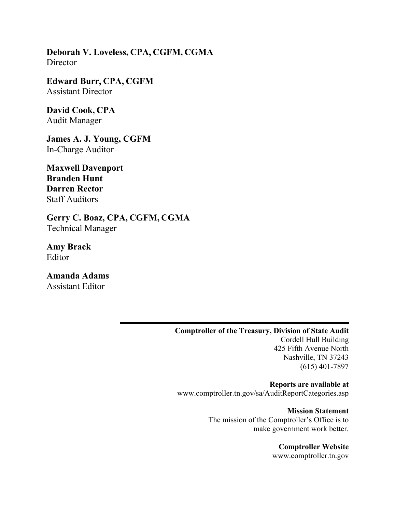**Deborah V. Loveless, CPA, CGFM, CGMA Director** 

**Edward Burr, CPA, CGFM**  Assistant Director

**David Cook, CPA**  Audit Manager

**James A. J. Young, CGFM**  In-Charge Auditor

**Maxwell Davenport Branden Hunt Darren Rector**  Staff Auditors

**Gerry C. Boaz, CPA, CGFM, CGMA** Technical Manager

**Amy Brack**  Editor

**Amanda Adams**  Assistant Editor

> **Comptroller of the Treasury, Division of State Audit**  Cordell Hull Building 425 Fifth Avenue North Nashville, TN 37243 (615) 401-7897

> **Reports are available at**  [www.comptroller.tn.gov/sa/AuditReportCategories.asp](http://www.comptroller.tn.gov/sa/AuditReportCategories.asp)

> > **Mission Statement**  The mission of the Comptroller's Office is to make government work better.

> > > **Comptroller Website**  [www.comptroller.tn.gov](http://www.comptroller.tn.gov)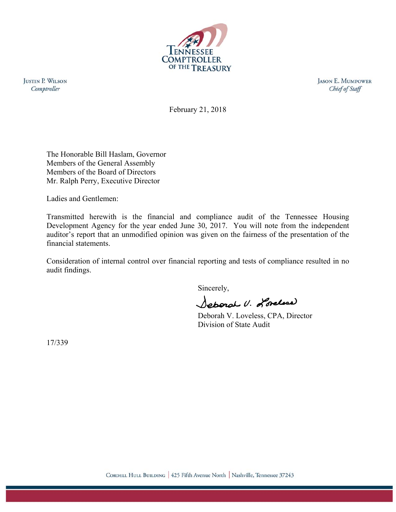

**JUSTIN P. WILSON** Comptroller

**JASON E. MUMPOWER** Chief of Staff

February 21, 2018

The Honorable Bill Haslam, Governor Members of the General Assembly Members of the Board of Directors Mr. Ralph Perry, Executive Director

Ladies and Gentlemen:

Transmitted herewith is the financial and compliance audit of the Tennessee Housing Development Agency for the year ended June 30, 2017. You will note from the independent auditor's report that an unmodified opinion was given on the fairness of the presentation of the financial statements.

Consideration of internal control over financial reporting and tests of compliance resulted in no audit findings.

Sincerely,

Seporal U. Lorelson

 Deborah V. Loveless, CPA, Director Division of State Audit

17/339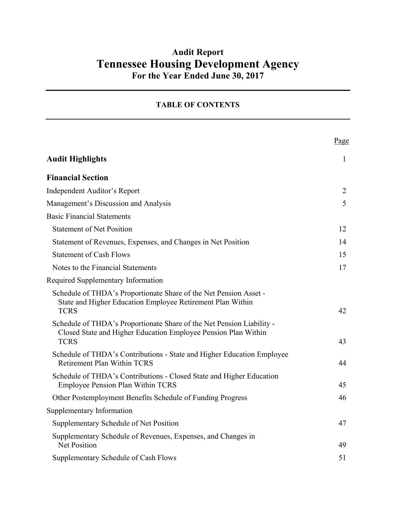# **Audit Report Tennessee Housing Development Agency For the Year Ended June 30, 2017**

### **TABLE OF CONTENTS**

|                                                                                                                                                        | Page           |
|--------------------------------------------------------------------------------------------------------------------------------------------------------|----------------|
| <b>Audit Highlights</b>                                                                                                                                | $\mathbf{1}$   |
| <b>Financial Section</b>                                                                                                                               |                |
| Independent Auditor's Report                                                                                                                           | $\overline{2}$ |
| Management's Discussion and Analysis                                                                                                                   | 5              |
| <b>Basic Financial Statements</b>                                                                                                                      |                |
| <b>Statement of Net Position</b>                                                                                                                       | 12             |
| Statement of Revenues, Expenses, and Changes in Net Position                                                                                           | 14             |
| <b>Statement of Cash Flows</b>                                                                                                                         | 15             |
| Notes to the Financial Statements                                                                                                                      | 17             |
| Required Supplementary Information                                                                                                                     |                |
| Schedule of THDA's Proportionate Share of the Net Pension Asset -<br>State and Higher Education Employee Retirement Plan Within<br><b>TCRS</b>         | 42             |
| Schedule of THDA's Proportionate Share of the Net Pension Liability -<br>Closed State and Higher Education Employee Pension Plan Within<br><b>TCRS</b> | 43             |
| Schedule of THDA's Contributions - State and Higher Education Employee<br><b>Retirement Plan Within TCRS</b>                                           | 44             |
| Schedule of THDA's Contributions - Closed State and Higher Education<br><b>Employee Pension Plan Within TCRS</b>                                       | 45             |
| Other Postemployment Benefits Schedule of Funding Progress                                                                                             | 46             |
| Supplementary Information                                                                                                                              |                |
| Supplementary Schedule of Net Position                                                                                                                 | 47             |
| Supplementary Schedule of Revenues, Expenses, and Changes in<br><b>Net Position</b>                                                                    | 49             |
| Supplementary Schedule of Cash Flows                                                                                                                   | 51             |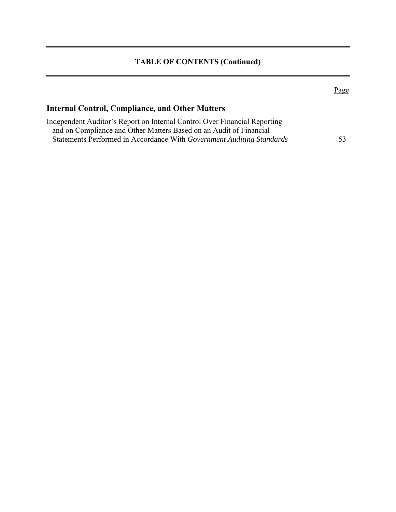|                                                                                                                                                                                                                                 | Page |
|---------------------------------------------------------------------------------------------------------------------------------------------------------------------------------------------------------------------------------|------|
| <b>Internal Control, Compliance, and Other Matters</b>                                                                                                                                                                          |      |
| Independent Auditor's Report on Internal Control Over Financial Reporting<br>and on Compliance and Other Matters Based on an Audit of Financial<br>Statements Performed in Accordance With <i>Government Auditing Standards</i> | 53   |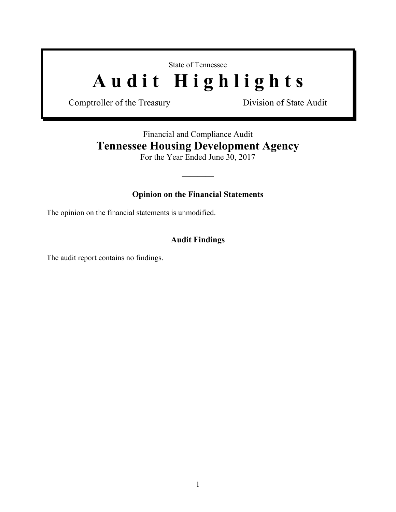State of Tennessee

# Audit Highlights

Comptroller of the Treasury Division of State Audit

# Financial and Compliance Audit **Tennessee Housing Development Agency**

For the Year Ended June 30, 2017

 $\frac{1}{2}$ 

# **Opinion on the Financial Statements**

The opinion on the financial statements is unmodified.

### **Audit Findings**

The audit report contains no findings.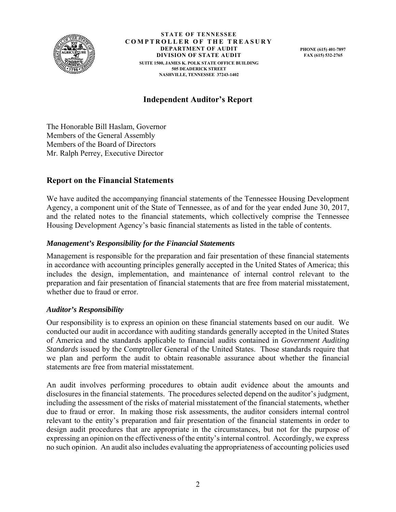

**STATE OF TENNESSEE COMPTROLLER OF THE TREASURY DEPARTMENT OF AUDIT DIVISION OF STATE AUDIT SUITE 1500, JAMES K. POLK STATE OFFICE BUILDING 505 DEADERICK STREET NASHVILLE, TENNESSEE 37243-1402** 

**PHONE (615) 401-7897 FAX (615) 532-2765** 

### **Independent Auditor's Report**

The Honorable Bill Haslam, Governor Members of the General Assembly Members of the Board of Directors Mr. Ralph Perrey, Executive Director

### **Report on the Financial Statements**

We have audited the accompanying financial statements of the Tennessee Housing Development Agency, a component unit of the State of Tennessee, as of and for the year ended June 30, 2017, and the related notes to the financial statements, which collectively comprise the Tennessee Housing Development Agency's basic financial statements as listed in the table of contents.

### *Management's Responsibility for the Financial Statements*

Management is responsible for the preparation and fair presentation of these financial statements in accordance with accounting principles generally accepted in the United States of America; this includes the design, implementation, and maintenance of internal control relevant to the preparation and fair presentation of financial statements that are free from material misstatement, whether due to fraud or error.

### *Auditor's Responsibility*

Our responsibility is to express an opinion on these financial statements based on our audit. We conducted our audit in accordance with auditing standards generally accepted in the United States of America and the standards applicable to financial audits contained in *Government Auditing Standards* issued by the Comptroller General of the United States. Those standards require that we plan and perform the audit to obtain reasonable assurance about whether the financial statements are free from material misstatement.

An audit involves performing procedures to obtain audit evidence about the amounts and disclosures in the financial statements. The procedures selected depend on the auditor's judgment, including the assessment of the risks of material misstatement of the financial statements, whether due to fraud or error. In making those risk assessments, the auditor considers internal control relevant to the entity's preparation and fair presentation of the financial statements in order to design audit procedures that are appropriate in the circumstances, but not for the purpose of expressing an opinion on the effectiveness of the entity's internal control. Accordingly, we express no such opinion. An audit also includes evaluating the appropriateness of accounting policies used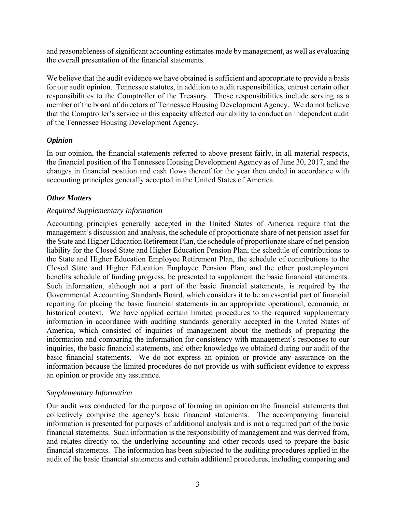and reasonableness of significant accounting estimates made by management, as well as evaluating the overall presentation of the financial statements.

We believe that the audit evidence we have obtained is sufficient and appropriate to provide a basis for our audit opinion. Tennessee statutes, in addition to audit responsibilities, entrust certain other responsibilities to the Comptroller of the Treasury. Those responsibilities include serving as a member of the board of directors of Tennessee Housing Development Agency. We do not believe that the Comptroller's service in this capacity affected our ability to conduct an independent audit of the Tennessee Housing Development Agency.

### *Opinion*

In our opinion, the financial statements referred to above present fairly, in all material respects, the financial position of the Tennessee Housing Development Agency as of June 30, 2017, and the changes in financial position and cash flows thereof for the year then ended in accordance with accounting principles generally accepted in the United States of America.

### *Other Matters*

### *Required Supplementary Information*

Accounting principles generally accepted in the United States of America require that the management's discussion and analysis, the schedule of proportionate share of net pension asset for the State and Higher Education Retirement Plan, the schedule of proportionate share of net pension liability for the Closed State and Higher Education Pension Plan, the schedule of contributions to the State and Higher Education Employee Retirement Plan, the schedule of contributions to the Closed State and Higher Education Employee Pension Plan, and the other postemployment benefits schedule of funding progress, be presented to supplement the basic financial statements. Such information, although not a part of the basic financial statements, is required by the Governmental Accounting Standards Board, which considers it to be an essential part of financial reporting for placing the basic financial statements in an appropriate operational, economic, or historical context. We have applied certain limited procedures to the required supplementary information in accordance with auditing standards generally accepted in the United States of America, which consisted of inquiries of management about the methods of preparing the information and comparing the information for consistency with management's responses to our inquiries, the basic financial statements, and other knowledge we obtained during our audit of the basic financial statements. We do not express an opinion or provide any assurance on the information because the limited procedures do not provide us with sufficient evidence to express an opinion or provide any assurance.

### *Supplementary Information*

Our audit was conducted for the purpose of forming an opinion on the financial statements that collectively comprise the agency's basic financial statements. The accompanying financial information is presented for purposes of additional analysis and is not a required part of the basic financial statements. Such information is the responsibility of management and was derived from, and relates directly to, the underlying accounting and other records used to prepare the basic financial statements. The information has been subjected to the auditing procedures applied in the audit of the basic financial statements and certain additional procedures, including comparing and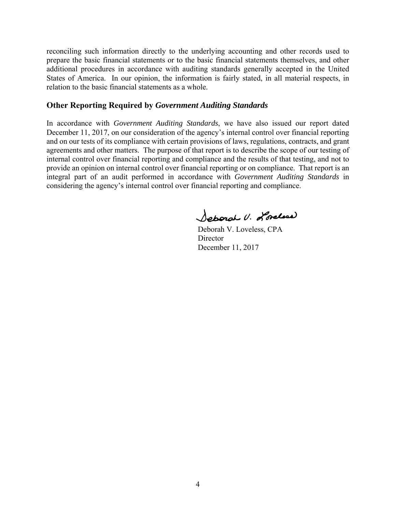reconciling such information directly to the underlying accounting and other records used to prepare the basic financial statements or to the basic financial statements themselves, and other additional procedures in accordance with auditing standards generally accepted in the United States of America. In our opinion, the information is fairly stated, in all material respects, in relation to the basic financial statements as a whole.

### **Other Reporting Required by** *Government Auditing Standards*

In accordance with *Government Auditing Standards*, we have also issued our report dated December 11, 2017, on our consideration of the agency's internal control over financial reporting and on our tests of its compliance with certain provisions of laws, regulations, contracts, and grant agreements and other matters. The purpose of that report is to describe the scope of our testing of internal control over financial reporting and compliance and the results of that testing, and not to provide an opinion on internal control over financial reporting or on compliance. That report is an integral part of an audit performed in accordance with *Government Auditing Standards* in considering the agency's internal control over financial reporting and compliance.

Seporal U. Lorelian

 Deborah V. Loveless, CPA Director December 11, 2017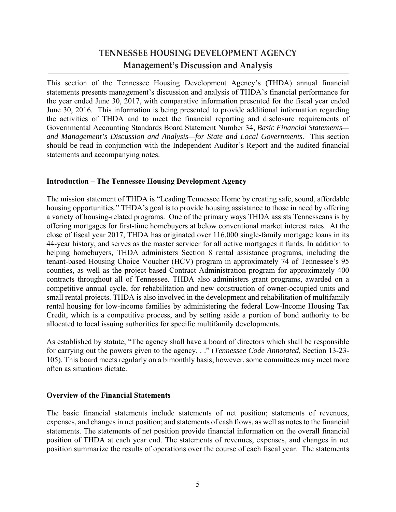# **TENNESSEE HOUSING DEVELOPMENT AGENCY Management's Discussion and Analysis**

This section of the Tennessee Housing Development Agency's (THDA) annual financial statements presents management's discussion and analysis of THDA's financial performance for the year ended June 30, 2017, with comparative information presented for the fiscal year ended June 30, 2016. This information is being presented to provide additional information regarding the activities of THDA and to meet the financial reporting and disclosure requirements of Governmental Accounting Standards Board Statement Number 34, *Basic Financial Statements and Management's Discussion and Analysis—for State and Local Governments.* This section should be read in conjunction with the Independent Auditor's Report and the audited financial statements and accompanying notes.

### **Introduction – The Tennessee Housing Development Agency**

The mission statement of THDA is "Leading Tennessee Home by creating safe, sound, affordable housing opportunities." THDA's goal is to provide housing assistance to those in need by offering a variety of housing-related programs. One of the primary ways THDA assists Tennesseans is by offering mortgages for first-time homebuyers at below conventional market interest rates. At the close of fiscal year 2017, THDA has originated over 116,000 single-family mortgage loans in its 44-year history, and serves as the master servicer for all active mortgages it funds. In addition to helping homebuyers, THDA administers Section 8 rental assistance programs, including the tenant-based Housing Choice Voucher (HCV) program in approximately 74 of Tennessee's 95 counties, as well as the project-based Contract Administration program for approximately 400 contracts throughout all of Tennessee. THDA also administers grant programs, awarded on a competitive annual cycle, for rehabilitation and new construction of owner-occupied units and small rental projects. THDA is also involved in the development and rehabilitation of multifamily rental housing for low-income families by administering the federal Low-Income Housing Tax Credit, which is a competitive process, and by setting aside a portion of bond authority to be allocated to local issuing authorities for specific multifamily developments.

As established by statute, "The agency shall have a board of directors which shall be responsible for carrying out the powers given to the agency. . ." (*Tennessee Code Annotated,* Section 13-23- 105). This board meets regularly on a bimonthly basis; however, some committees may meet more often as situations dictate.

### **Overview of the Financial Statements**

The basic financial statements include statements of net position; statements of revenues, expenses, and changes in net position; and statements of cash flows, as well as notes to the financial statements. The statements of net position provide financial information on the overall financial position of THDA at each year end. The statements of revenues, expenses, and changes in net position summarize the results of operations over the course of each fiscal year. The statements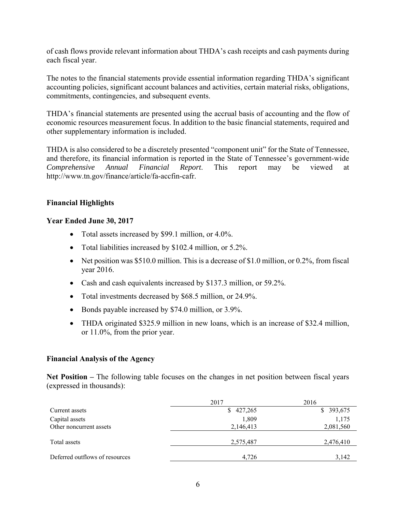of cash flows provide relevant information about THDA's cash receipts and cash payments during each fiscal year.

The notes to the financial statements provide essential information regarding THDA's significant accounting policies, significant account balances and activities, certain material risks, obligations, commitments, contingencies, and subsequent events.

THDA's financial statements are presented using the accrual basis of accounting and the flow of economic resources measurement focus. In addition to the basic financial statements, required and other supplementary information is included.

THDA is also considered to be a discretely presented "component unit" for the State of Tennessee, and therefore, its financial information is reported in the State of Tennessee's government-wide *Comprehensive Annual Financial Report*. This report may be viewed at [http://www.tn.gov/finance/article/fa-accfin-cafr.](http://www.tn.gov/finance/article/fa-accfin-cafr) 

### **Financial Highlights**

### **Year Ended June 30, 2017**

- Total assets increased by \$99.1 million, or 4.0%.
- Total liabilities increased by \$102.4 million, or 5.2%.
- Net position was \$510.0 million. This is a decrease of \$1.0 million, or 0.2%, from fiscal year 2016.
- Cash and cash equivalents increased by \$137.3 million, or 59.2%.
- Total investments decreased by \$68.5 million, or 24.9%.
- Bonds payable increased by \$74.0 million, or 3.9%.
- THDA originated \$325.9 million in new loans, which is an increase of \$32.4 million, or 11.0%, from the prior year.

### **Financial Analysis of the Agency**

Net Position – The following table focuses on the changes in net position between fiscal years (expressed in thousands):

|                                           | 2017               | 2016               |
|-------------------------------------------|--------------------|--------------------|
| Current assets                            | \$427,265          | \$ 393,675         |
| Capital assets<br>Other noncurrent assets | 1,809<br>2,146,413 | 1,175<br>2,081,560 |
| Total assets                              | 2,575,487          | 2,476,410          |
| Deferred outflows of resources            | 4,726              | 3,142              |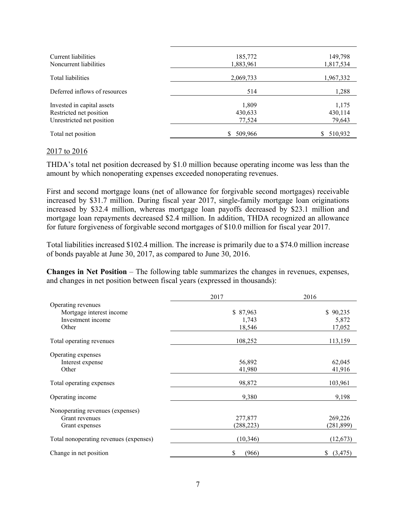| Current liabilities<br>Noncurrent liabilities                                      | 185,772<br>1,883,961       | 149,798<br>1,817,534       |
|------------------------------------------------------------------------------------|----------------------------|----------------------------|
| Total liabilities                                                                  | 2,069,733                  | 1,967,332                  |
| Deferred inflows of resources                                                      | 514                        | 1,288                      |
| Invested in capital assets<br>Restricted net position<br>Unrestricted net position | 1,809<br>430,633<br>77,524 | 1,175<br>430,114<br>79,643 |
| Total net position                                                                 | 509,966                    | 510,932                    |

### 2017 to 2016

THDA's total net position decreased by \$1.0 million because operating income was less than the amount by which nonoperating expenses exceeded nonoperating revenues.

First and second mortgage loans (net of allowance for forgivable second mortgages) receivable increased by \$31.7 million. During fiscal year 2017, single-family mortgage loan originations increased by \$32.4 million, whereas mortgage loan payoffs decreased by \$23.1 million and mortgage loan repayments decreased \$2.4 million. In addition, THDA recognized an allowance for future forgiveness of forgivable second mortgages of \$10.0 million for fiscal year 2017.

Total liabilities increased \$102.4 million. The increase is primarily due to a \$74.0 million increase of bonds payable at June 30, 2017, as compared to June 30, 2016.

**Changes in Net Position** – The following table summarizes the changes in revenues, expenses, and changes in net position between fiscal years (expressed in thousands):

|                                        | 2017        | 2016           |
|----------------------------------------|-------------|----------------|
| Operating revenues                     |             |                |
| Mortgage interest income               | \$87,963    | \$90,235       |
| Investment income                      | 1,743       | 5,872          |
| Other                                  | 18,546      | 17,052         |
| Total operating revenues               | 108,252     | 113,159        |
| Operating expenses                     |             |                |
| Interest expense                       | 56,892      | 62,045         |
| Other                                  | 41,980      | 41,916         |
| Total operating expenses               | 98,872      | 103,961        |
| Operating income                       | 9,380       | 9,198          |
| Nonoperating revenues (expenses)       |             |                |
| Grant revenues                         | 277,877     | 269,226        |
| Grant expenses                         | (288, 223)  | (281, 899)     |
| Total nonoperating revenues (expenses) | (10, 346)   | (12, 673)      |
| Change in net position                 | \$<br>(966) | (3, 475)<br>S. |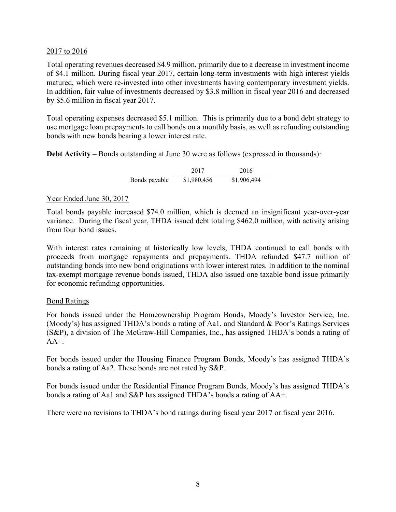### 2017 to 2016

Total operating revenues decreased \$4.9 million, primarily due to a decrease in investment income of \$4.1 million. During fiscal year 2017, certain long-term investments with high interest yields matured, which were re-invested into other investments having contemporary investment yields. In addition, fair value of investments decreased by \$3.8 million in fiscal year 2016 and decreased by \$5.6 million in fiscal year 2017.

Total operating expenses decreased \$5.1 million. This is primarily due to a bond debt strategy to use mortgage loan prepayments to call bonds on a monthly basis, as well as refunding outstanding bonds with new bonds bearing a lower interest rate.

**Debt Activity** – Bonds outstanding at June 30 were as follows (expressed in thousands):

2017 2016 Bonds payable \$1,980,456 \$1,906,494

### Year Ended June 30, 2017

Total bonds payable increased \$74.0 million, which is deemed an insignificant year-over-year variance. During the fiscal year, THDA issued debt totaling \$462.0 million, with activity arising from four bond issues.

With interest rates remaining at historically low levels, THDA continued to call bonds with proceeds from mortgage repayments and prepayments. THDA refunded \$47.7 million of outstanding bonds into new bond originations with lower interest rates. In addition to the nominal tax-exempt mortgage revenue bonds issued, THDA also issued one taxable bond issue primarily for economic refunding opportunities.

### Bond Ratings

For bonds issued under the Homeownership Program Bonds, Moody's Investor Service, Inc. (Moody's) has assigned THDA's bonds a rating of Aa1, and Standard & Poor's Ratings Services (S&P), a division of The McGraw-Hill Companies, Inc., has assigned THDA's bonds a rating of  $AA^+$ .

For bonds issued under the Housing Finance Program Bonds, Moody's has assigned THDA's bonds a rating of Aa2. These bonds are not rated by S&P.

For bonds issued under the Residential Finance Program Bonds, Moody's has assigned THDA's bonds a rating of Aa1 and S&P has assigned THDA's bonds a rating of AA+.

There were no revisions to THDA's bond ratings during fiscal year 2017 or fiscal year 2016.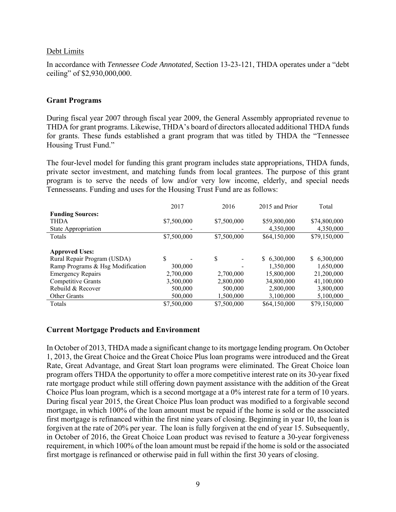#### Debt Limits

In accordance with *Tennessee Code Annotated,* Section 13-23-121, THDA operates under a "debt ceiling" of \$2,930,000,000.

### **Grant Programs**

During fiscal year 2007 through fiscal year 2009, the General Assembly appropriated revenue to THDA for grant programs. Likewise, THDA's board of directors allocated additional THDA funds for grants. These funds established a grant program that was titled by THDA the "Tennessee Housing Trust Fund."

The four-level model for funding this grant program includes state appropriations, THDA funds, private sector investment, and matching funds from local grantees. The purpose of this grant program is to serve the needs of low and/or very low income, elderly, and special needs Tennesseans. Funding and uses for the Housing Trust Fund are as follows:

|                                  | 2017        | 2016        | 2015 and Prior | Total        |
|----------------------------------|-------------|-------------|----------------|--------------|
| <b>Funding Sources:</b>          |             |             |                |              |
| <b>THDA</b>                      | \$7,500,000 | \$7,500,000 | \$59,800,000   | \$74,800,000 |
| State Appropriation              |             |             | 4.350,000      | 4,350,000    |
| Totals                           | \$7,500,000 | \$7,500,000 | \$64,150,000   | \$79,150,000 |
|                                  |             |             |                |              |
| <b>Approved Uses:</b>            |             |             |                |              |
| Rural Repair Program (USDA)      | \$          | \$<br>-     | \$6,300,000    | \$6,300,000  |
| Ramp Programs & Hsg Modification | 300,000     |             | 1,350,000      | 1,650,000    |
| <b>Emergency Repairs</b>         | 2.700,000   | 2.700,000   | 15,800,000     | 21,200,000   |
| <b>Competitive Grants</b>        | 3,500,000   | 2,800,000   | 34,800,000     | 41,100,000   |
| Rebuild & Recover                | 500,000     | 500,000     | 2,800,000      | 3,800,000    |
| <b>Other Grants</b>              | 500,000     | 1,500,000   | 3,100,000      | 5,100,000    |
| Totals                           | \$7,500,000 | \$7,500,000 | \$64,150,000   | \$79,150,000 |

### **Current Mortgage Products and Environment**

In October of 2013, THDA made a significant change to its mortgage lending program. On October 1, 2013, the Great Choice and the Great Choice Plus loan programs were introduced and the Great Rate, Great Advantage, and Great Start loan programs were eliminated. The Great Choice loan program offers THDA the opportunity to offer a more competitive interest rate on its 30-year fixed rate mortgage product while still offering down payment assistance with the addition of the Great Choice Plus loan program, which is a second mortgage at a 0% interest rate for a term of 10 years. During fiscal year 2015, the Great Choice Plus loan product was modified to a forgivable second mortgage, in which 100% of the loan amount must be repaid if the home is sold or the associated first mortgage is refinanced within the first nine years of closing. Beginning in year 10, the loan is forgiven at the rate of 20% per year. The loan is fully forgiven at the end of year 15. Subsequently, in October of 2016, the Great Choice Loan product was revised to feature a 30-year forgiveness requirement, in which 100% of the loan amount must be repaid if the home is sold or the associated first mortgage is refinanced or otherwise paid in full within the first 30 years of closing.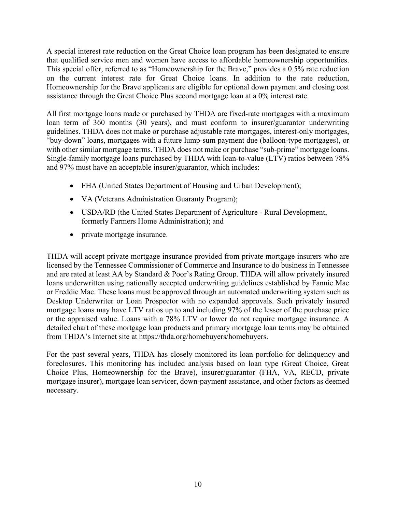A special interest rate reduction on the Great Choice loan program has been designated to ensure that qualified service men and women have access to affordable homeownership opportunities. This special offer, referred to as "Homeownership for the Brave," provides a 0.5% rate reduction on the current interest rate for Great Choice loans. In addition to the rate reduction, Homeownership for the Brave applicants are eligible for optional down payment and closing cost assistance through the Great Choice Plus second mortgage loan at a 0% interest rate.

All first mortgage loans made or purchased by THDA are fixed-rate mortgages with a maximum loan term of 360 months (30 years), and must conform to insurer/guarantor underwriting guidelines. THDA does not make or purchase adjustable rate mortgages, interest-only mortgages, "buy-down" loans, mortgages with a future lump-sum payment due (balloon-type mortgages), or with other similar mortgage terms. THDA does not make or purchase "sub-prime" mortgage loans. Single-family mortgage loans purchased by THDA with loan-to-value (LTV) ratios between 78% and 97% must have an acceptable insurer/guarantor, which includes:

- FHA (United States Department of Housing and Urban Development);
- VA (Veterans Administration Guaranty Program);
- USDA/RD (the United States Department of Agriculture Rural Development, formerly Farmers Home Administration); and
- private mortgage insurance.

THDA will accept private mortgage insurance provided from private mortgage insurers who are licensed by the Tennessee Commissioner of Commerce and Insurance to do business in Tennessee and are rated at least AA by Standard & Poor's Rating Group. THDA will allow privately insured loans underwritten using nationally accepted underwriting guidelines established by Fannie Mae or Freddie Mac. These loans must be approved through an automated underwriting system such as Desktop Underwriter or Loan Prospector with no expanded approvals. Such privately insured mortgage loans may have LTV ratios up to and including 97% of the lesser of the purchase price or the appraised value. Loans with a 78% LTV or lower do not require mortgage insurance. A detailed chart of these mortgage loan products and primary mortgage loan terms may be obtained from THDA's Internet site at [https://thda.org/homebuyers/homebuyers.](https://thda.org/homebuyers/homebuyers) 

For the past several years, THDA has closely monitored its loan portfolio for delinquency and foreclosures. This monitoring has included analysis based on loan type (Great Choice, Great Choice Plus, Homeownership for the Brave), insurer/guarantor (FHA, VA, RECD, private mortgage insurer), mortgage loan servicer, down-payment assistance, and other factors as deemed necessary.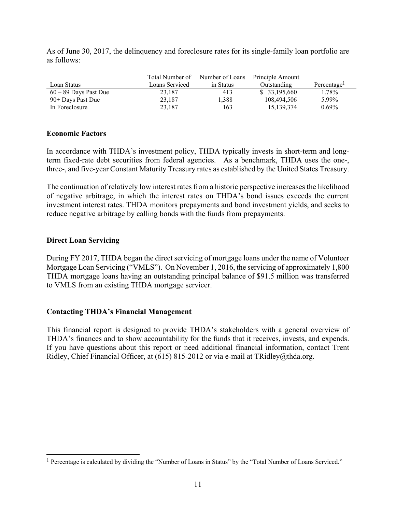As of June 30, 2017, the delinquency and foreclosure rates for its single-family loan portfolio are as follows:

|                         | Total Number of | Number of Loans | Principle Amount |                         |
|-------------------------|-----------------|-----------------|------------------|-------------------------|
| Loan Status             | Loans Serviced  | in Status       | Outstanding      | Percentage <sup>1</sup> |
| $60 - 89$ Days Past Due | 23,187          | 413             | \$ 33,195,660    | 1.78%                   |
| 90+ Days Past Due       | 23.187          | 1,388           | 108,494,506      | 5.99%                   |
| In Foreclosure          | 23,187          | 163             | 15.139.374       | $0.69\%$                |

### **Economic Factors**

In accordance with THDA's investment policy, THDA typically invests in short-term and longterm fixed-rate debt securities from federal agencies. As a benchmark, THDA uses the one-, three-, and five-year Constant Maturity Treasury rates as established by the United States Treasury.

The continuation of relatively low interest rates from a historic perspective increases the likelihood of negative arbitrage, in which the interest rates on THDA's bond issues exceeds the current investment interest rates. THDA monitors prepayments and bond investment yields, and seeks to reduce negative arbitrage by calling bonds with the funds from prepayments.

### **Direct Loan Servicing**

 $\overline{a}$ 

During FY 2017, THDA began the direct servicing of mortgage loans under the name of Volunteer Mortgage Loan Servicing ("VMLS"). On November 1, 2016, the servicing of approximately 1,800 THDA mortgage loans having an outstanding principal balance of \$91.5 million was transferred to VMLS from an existing THDA mortgage servicer.

### **Contacting THDA's Financial Management**

This financial report is designed to provide THDA's stakeholders with a general overview of THDA's finances and to show accountability for the funds that it receives, invests, and expends. If you have questions about this report or need additional financial information, contact Trent Ridley, Chief Financial Officer, at (615) 815-2012 or via e-mail at [TRidley@thda.org.](mailto:TRidley@thda.org) 

<sup>1</sup> Percentage is calculated by dividing the "Number of Loans in Status" by the "Total Number of Loans Serviced."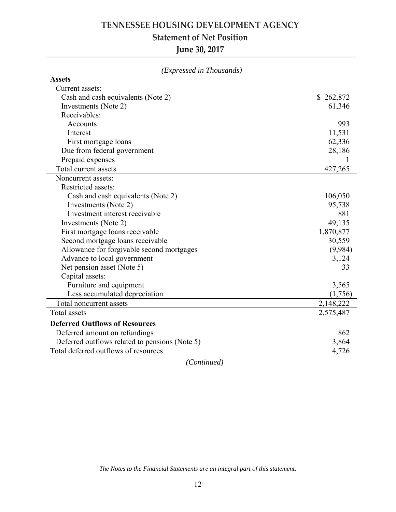### **TENNESSEE HOUSING DEVELOPMENT AGENCY**

### **Statement of Net Position**

**June 30, 2017**

| (Expressed in Thousands)                       |           |
|------------------------------------------------|-----------|
| <b>Assets</b>                                  |           |
| Current assets:                                |           |
| Cash and cash equivalents (Note 2)             | \$262,872 |
| Investments (Note 2)                           | 61,346    |
| Receivables:                                   |           |
| Accounts                                       | 993       |
| Interest                                       | 11,531    |
| First mortgage loans                           | 62,336    |
| Due from federal government                    | 28,186    |
| Prepaid expenses                               |           |
| Total current assets                           | 427,265   |
| Noncurrent assets:                             |           |
| Restricted assets:                             |           |
| Cash and cash equivalents (Note 2)             | 106,050   |
| Investments (Note 2)                           | 95,738    |
| Investment interest receivable                 | 881       |
| Investments (Note 2)                           | 49,135    |
| First mortgage loans receivable                | 1,870,877 |
| Second mortgage loans receivable               | 30,559    |
| Allowance for forgivable second mortgages      | (9,984)   |
| Advance to local government                    | 3,124     |
| Net pension asset (Note 5)                     | 33        |
| Capital assets:                                |           |
| Furniture and equipment                        | 3,565     |
| Less accumulated depreciation                  | (1,756)   |
| Total noncurrent assets                        | 2,148,222 |
| Total assets                                   | 2,575,487 |
| <b>Deferred Outflows of Resources</b>          |           |
| Deferred amount on refundings                  | 862       |
| Deferred outflows related to pensions (Note 5) | 3,864     |
| Total deferred outflows of resources           | 4,726     |

*(Continued)*

*The Notes to the Financial Statements are an integral part of this statement.*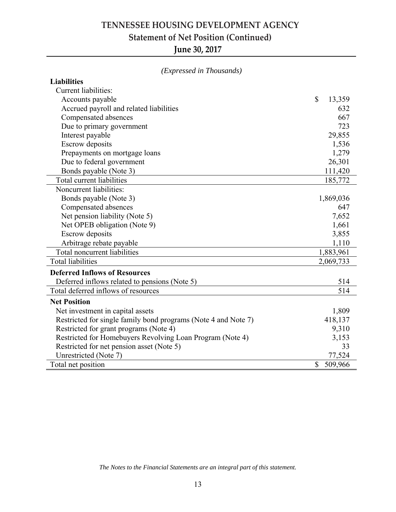# **TENNESSEE HOUSING DEVELOPMENT AGENCY**

# **Statement of Net Position (Continued)**

**June 30, 2017**

| (Expressed in Thousands)                                       |                         |
|----------------------------------------------------------------|-------------------------|
| <b>Liabilities</b>                                             |                         |
| <b>Current liabilities:</b>                                    |                         |
| Accounts payable                                               | $\mathbb{S}$<br>13,359  |
| Accrued payroll and related liabilities                        | 632                     |
| Compensated absences                                           | 667                     |
| Due to primary government                                      | 723                     |
| Interest payable                                               | 29,855                  |
| <b>Escrow</b> deposits                                         | 1,536                   |
| Prepayments on mortgage loans                                  | 1,279                   |
| Due to federal government                                      | 26,301                  |
| Bonds payable (Note 3)                                         | 111,420                 |
| Total current liabilities                                      | 185,772                 |
| Noncurrent liabilities:                                        |                         |
| Bonds payable (Note 3)                                         | 1,869,036               |
| Compensated absences                                           | 647                     |
| Net pension liability (Note 5)                                 | 7,652                   |
| Net OPEB obligation (Note 9)                                   | 1,661                   |
| <b>Escrow</b> deposits                                         | 3,855                   |
| Arbitrage rebate payable                                       | 1,110                   |
| Total noncurrent liabilities                                   | 1,883,961               |
| <b>Total liabilities</b>                                       | 2,069,733               |
| <b>Deferred Inflows of Resources</b>                           |                         |
| Deferred inflows related to pensions (Note 5)                  | 514                     |
| Total deferred inflows of resources                            | 514                     |
| <b>Net Position</b>                                            |                         |
| Net investment in capital assets                               | 1,809                   |
| Restricted for single family bond programs (Note 4 and Note 7) | 418,137                 |
| Restricted for grant programs (Note 4)                         | 9,310                   |
| Restricted for Homebuyers Revolving Loan Program (Note 4)      | 3,153                   |
| Restricted for net pension asset (Note 5)                      | 33                      |
| Unrestricted (Note 7)                                          | 77,524                  |
| Total net position                                             | $\mathbb{S}$<br>509,966 |

*(Expressed in Thousands)*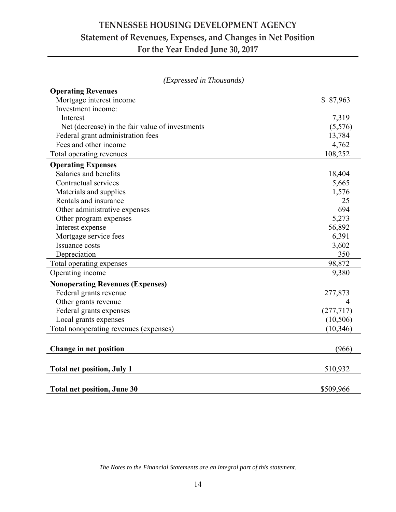# **TENNESSEE HOUSING DEVELOPMENT AGENCY Statement of Revenues, Expenses, and Changes in Net Position For the Year Ended June 30, 2017**

| (Expressed in Thousands)                        |            |
|-------------------------------------------------|------------|
| <b>Operating Revenues</b>                       |            |
| Mortgage interest income                        | \$87,963   |
| Investment income:                              |            |
| Interest                                        | 7,319      |
| Net (decrease) in the fair value of investments | (5,576)    |
| Federal grant administration fees               | 13,784     |
| Fees and other income                           | 4,762      |
| Total operating revenues                        | 108,252    |
| <b>Operating Expenses</b>                       |            |
| Salaries and benefits                           | 18,404     |
| Contractual services                            | 5,665      |
| Materials and supplies                          | 1,576      |
| Rentals and insurance                           | 25         |
| Other administrative expenses                   | 694        |
| Other program expenses                          | 5,273      |
| Interest expense                                | 56,892     |
| Mortgage service fees                           | 6,391      |
| Issuance costs                                  | 3,602      |
| Depreciation                                    | 350        |
| Total operating expenses                        | 98,872     |
| Operating income                                | 9,380      |
| <b>Nonoperating Revenues (Expenses)</b>         |            |
| Federal grants revenue                          | 277,873    |
| Other grants revenue                            | 4          |
| Federal grants expenses                         | (277, 717) |
| Local grants expenses                           | (10, 506)  |
| Total nonoperating revenues (expenses)          | (10, 346)  |
|                                                 |            |
| <b>Change in net position</b>                   | (966)      |
| <b>Total net position, July 1</b>               | 510,932    |
| <b>Total net position, June 30</b>              | \$509,966  |

*The Notes to the Financial Statements are an integral part of this statement.*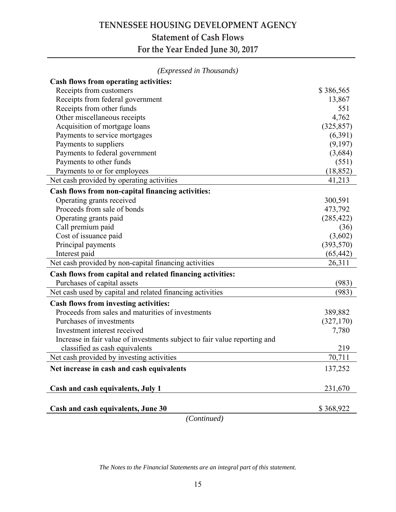# **TENNESSEE HOUSING DEVELOPMENT AGENCY Statement of Cash Flows For the Year Ended June 30, 2017**

| (Expressed in Thousands)                                                  |            |
|---------------------------------------------------------------------------|------------|
| Cash flows from operating activities:                                     |            |
| Receipts from customers                                                   | \$386,565  |
| Receipts from federal government                                          | 13,867     |
| Receipts from other funds                                                 | 551        |
| Other miscellaneous receipts                                              | 4,762      |
| Acquisition of mortgage loans                                             | (325, 857) |
| Payments to service mortgages                                             | (6,391)    |
| Payments to suppliers                                                     | (9,197)    |
| Payments to federal government                                            | (3,684)    |
| Payments to other funds                                                   | (551)      |
| Payments to or for employees                                              | (18, 852)  |
| Net cash provided by operating activities                                 | 41,213     |
| Cash flows from non-capital financing activities:                         |            |
| Operating grants received                                                 | 300,591    |
| Proceeds from sale of bonds                                               | 473,792    |
| Operating grants paid                                                     | (285, 422) |
| Call premium paid                                                         | (36)       |
| Cost of issuance paid                                                     | (3,602)    |
| Principal payments                                                        | (393,570)  |
| Interest paid                                                             | (65, 442)  |
| Net cash provided by non-capital financing activities                     | 26,311     |
| Cash flows from capital and related financing activities:                 |            |
| Purchases of capital assets                                               | (983)      |
| Net cash used by capital and related financing activities                 | (983)      |
| <b>Cash flows from investing activities:</b>                              |            |
| Proceeds from sales and maturities of investments                         | 389,882    |
| Purchases of investments                                                  | (327, 170) |
| Investment interest received                                              | 7,780      |
| Increase in fair value of investments subject to fair value reporting and |            |
| classified as cash equivalents                                            | 219        |
| Net cash provided by investing activities                                 | 70,711     |
| Net increase in cash and cash equivalents                                 | 137,252    |
| Cash and cash equivalents, July 1                                         | 231,670    |
| Cash and cash equivalents, June 30                                        | \$368,922  |

*(Continued)*

*The Notes to the Financial Statements are an integral part of this statement.*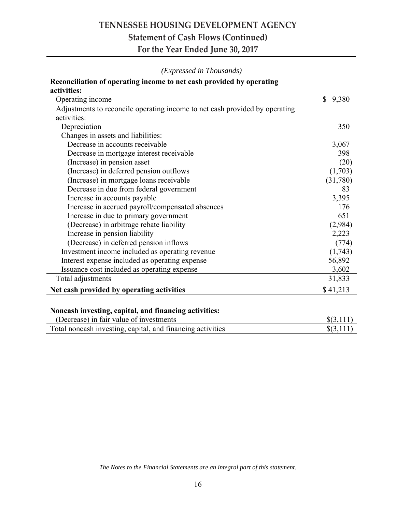# **TENNESSEE HOUSING DEVELOPMENT AGENCY**

# **Statement of Cash Flows (Continued)**

**For the Year Ended June 30, 2017**

### *(Expressed in Thousands)*

| Reconciliation of operating income to net cash provided by operating        |             |
|-----------------------------------------------------------------------------|-------------|
| activities:                                                                 |             |
| Operating income                                                            | \$<br>9,380 |
| Adjustments to reconcile operating income to net cash provided by operating |             |
| activities:                                                                 |             |
| Depreciation                                                                | 350         |
| Changes in assets and liabilities:                                          |             |
| Decrease in accounts receivable                                             | 3,067       |
| Decrease in mortgage interest receivable                                    | 398         |
| (Increase) in pension asset                                                 | (20)        |
| (Increase) in deferred pension outflows                                     | (1,703)     |
| (Increase) in mortgage loans receivable                                     | (31,780)    |
| Decrease in due from federal government                                     | 83          |
| Increase in accounts payable                                                | 3,395       |
| Increase in accrued payroll/compensated absences                            | 176         |
| Increase in due to primary government                                       | 651         |
| (Decrease) in arbitrage rebate liability                                    | (2,984)     |
| Increase in pension liability                                               | 2,223       |
| (Decrease) in deferred pension inflows                                      | (774)       |
| Investment income included as operating revenue                             | (1,743)     |
| Interest expense included as operating expense                              | 56,892      |
| Issuance cost included as operating expense                                 | 3,602       |
| Total adjustments                                                           | 31,833      |
| Net cash provided by operating activities                                   | \$41,213    |
|                                                                             |             |
| Noncash investing, capital, and financing activities:                       |             |
| (Decrease) in fair value of investments                                     | \$(3,111)   |

| Decrease) in fair value of investments                     |  |
|------------------------------------------------------------|--|
| Total noncash investing, capital, and financing activities |  |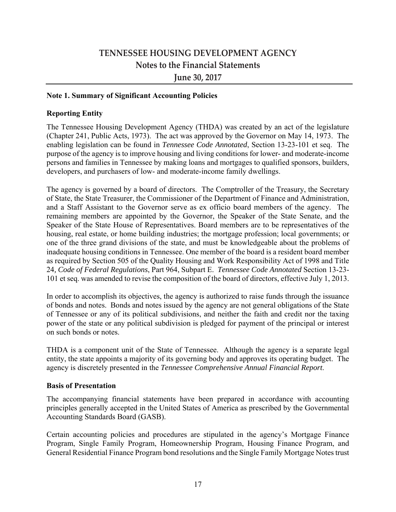# **TENNESSEE HOUSING DEVELOPMENT AGENCY Notes to the Financial Statements June 30, 2017**

### **Note 1. Summary of Significant Accounting Policies**

### **Reporting Entity**

The Tennessee Housing Development Agency (THDA) was created by an act of the legislature (Chapter 241, Public Acts, 1973). The act was approved by the Governor on May 14, 1973. The enabling legislation can be found in *Tennessee Code Annotated*, Section 13-23-101 et seq. The purpose of the agency is to improve housing and living conditions for lower- and moderate-income persons and families in Tennessee by making loans and mortgages to qualified sponsors, builders, developers, and purchasers of low- and moderate-income family dwellings.

The agency is governed by a board of directors. The Comptroller of the Treasury, the Secretary of State, the State Treasurer, the Commissioner of the Department of Finance and Administration, and a Staff Assistant to the Governor serve as ex officio board members of the agency. The remaining members are appointed by the Governor, the Speaker of the State Senate, and the Speaker of the State House of Representatives. Board members are to be representatives of the housing, real estate, or home building industries; the mortgage profession; local governments; or one of the three grand divisions of the state, and must be knowledgeable about the problems of inadequate housing conditions in Tennessee. One member of the board is a resident board member as required by Section 505 of the Quality Housing and Work Responsibility Act of 1998 and Title 24*, Code of Federal Regulations*, Part 964, Subpart E. *Tennessee Code Annotated* Section 13-23- 101 et seq. was amended to revise the composition of the board of directors, effective July 1, 2013.

In order to accomplish its objectives, the agency is authorized to raise funds through the issuance of bonds and notes. Bonds and notes issued by the agency are not general obligations of the State of Tennessee or any of its political subdivisions, and neither the faith and credit nor the taxing power of the state or any political subdivision is pledged for payment of the principal or interest on such bonds or notes.

THDA is a component unit of the State of Tennessee. Although the agency is a separate legal entity, the state appoints a majority of its governing body and approves its operating budget. The agency is discretely presented in the *Tennessee Comprehensive Annual Financial Report*.

### **Basis of Presentation**

The accompanying financial statements have been prepared in accordance with accounting principles generally accepted in the United States of America as prescribed by the Governmental Accounting Standards Board (GASB).

Certain accounting policies and procedures are stipulated in the agency's Mortgage Finance Program, Single Family Program, Homeownership Program, Housing Finance Program, and General Residential Finance Program bond resolutions and the Single Family Mortgage Notes trust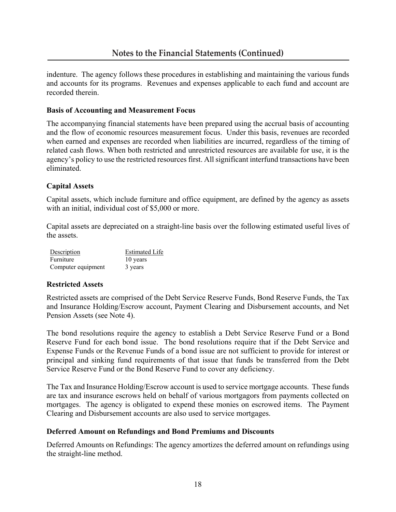indenture. The agency follows these procedures in establishing and maintaining the various funds and accounts for its programs. Revenues and expenses applicable to each fund and account are recorded therein.

### **Basis of Accounting and Measurement Focus**

The accompanying financial statements have been prepared using the accrual basis of accounting and the flow of economic resources measurement focus. Under this basis, revenues are recorded when earned and expenses are recorded when liabilities are incurred, regardless of the timing of related cash flows. When both restricted and unrestricted resources are available for use, it is the agency's policy to use the restricted resources first. All significant interfund transactions have been eliminated.

### **Capital Assets**

Capital assets, which include furniture and office equipment, are defined by the agency as assets with an initial, individual cost of \$5,000 or more.

Capital assets are depreciated on a straight-line basis over the following estimated useful lives of the assets.

| Description        | <b>Estimated Life</b> |
|--------------------|-----------------------|
| Furniture          | 10 years              |
| Computer equipment | 3 years               |

### **Restricted Assets**

Restricted assets are comprised of the Debt Service Reserve Funds, Bond Reserve Funds, the Tax and Insurance Holding/Escrow account, Payment Clearing and Disbursement accounts, and Net Pension Assets (see Note 4).

The bond resolutions require the agency to establish a Debt Service Reserve Fund or a Bond Reserve Fund for each bond issue. The bond resolutions require that if the Debt Service and Expense Funds or the Revenue Funds of a bond issue are not sufficient to provide for interest or principal and sinking fund requirements of that issue that funds be transferred from the Debt Service Reserve Fund or the Bond Reserve Fund to cover any deficiency.

The Tax and Insurance Holding/Escrow account is used to service mortgage accounts. These funds are tax and insurance escrows held on behalf of various mortgagors from payments collected on mortgages. The agency is obligated to expend these monies on escrowed items. The Payment Clearing and Disbursement accounts are also used to service mortgages.

### **Deferred Amount on Refundings and Bond Premiums and Discounts**

Deferred Amounts on Refundings: The agency amortizes the deferred amount on refundings using the straight-line method.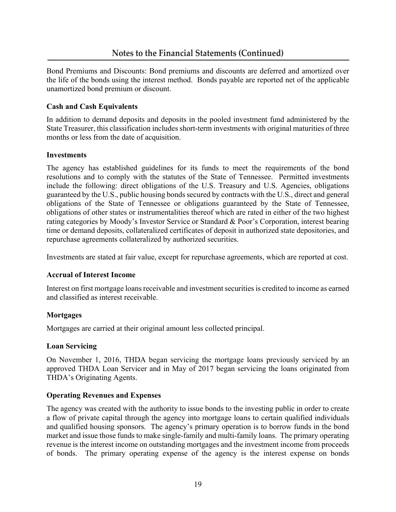Bond Premiums and Discounts: Bond premiums and discounts are deferred and amortized over the life of the bonds using the interest method. Bonds payable are reported net of the applicable unamortized bond premium or discount.

### **Cash and Cash Equivalents**

In addition to demand deposits and deposits in the pooled investment fund administered by the State Treasurer, this classification includes short-term investments with original maturities of three months or less from the date of acquisition.

### **Investments**

The agency has established guidelines for its funds to meet the requirements of the bond resolutions and to comply with the statutes of the State of Tennessee. Permitted investments include the following: direct obligations of the U.S. Treasury and U.S. Agencies, obligations guaranteed by the U.S., public housing bonds secured by contracts with the U.S., direct and general obligations of the State of Tennessee or obligations guaranteed by the State of Tennessee, obligations of other states or instrumentalities thereof which are rated in either of the two highest rating categories by Moody's Investor Service or Standard & Poor's Corporation, interest bearing time or demand deposits, collateralized certificates of deposit in authorized state depositories, and repurchase agreements collateralized by authorized securities.

Investments are stated at fair value, except for repurchase agreements, which are reported at cost.

### **Accrual of Interest Income**

Interest on first mortgage loans receivable and investment securities is credited to income as earned and classified as interest receivable.

### **Mortgages**

Mortgages are carried at their original amount less collected principal.

### **Loan Servicing**

On November 1, 2016, THDA began servicing the mortgage loans previously serviced by an approved THDA Loan Servicer and in May of 2017 began servicing the loans originated from THDA's Originating Agents.

### **Operating Revenues and Expenses**

The agency was created with the authority to issue bonds to the investing public in order to create a flow of private capital through the agency into mortgage loans to certain qualified individuals and qualified housing sponsors. The agency's primary operation is to borrow funds in the bond market and issue those funds to make single-family and multi-family loans. The primary operating revenue is the interest income on outstanding mortgages and the investment income from proceeds of bonds. The primary operating expense of the agency is the interest expense on bonds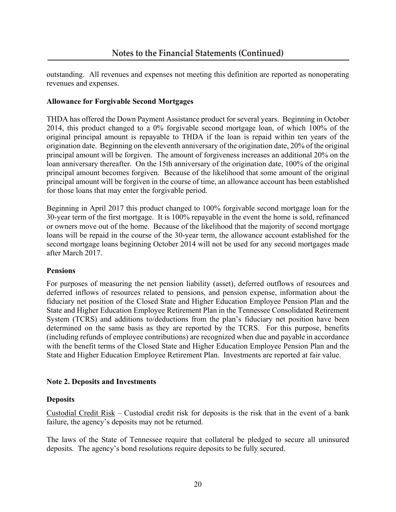outstanding. All revenues and expenses not meeting this definition are reported as nonoperating revenues and expenses.

### **Allowance for Forgivable Second Mortgages**

THDA has offered the Down Payment Assistance product for several years. Beginning in October 2014, this product changed to a 0% forgivable second mortgage loan, of which 100% of the original principal amount is repayable to THDA if the loan is repaid within ten years of the origination date. Beginning on the eleventh anniversary of the origination date, 20% of the original principal amount will be forgiven. The amount of forgiveness increases an additional 20% on the loan anniversary thereafter. On the 15th anniversary of the origination date, 100% of the original principal amount becomes forgiven. Because of the likelihood that some amount of the original principal amount will be forgiven in the course of time, an allowance account has been established for those loans that may enter the forgivable period.

Beginning in April 2017 this product changed to 100% forgivable second mortgage loan for the 30-year term of the first mortgage. It is 100% repayable in the event the home is sold, refinanced or owners move out of the home. Because of the likelihood that the majority of second mortgage loans will be repaid in the course of the 30-year term, the allowance account established for the second mortgage loans beginning October 2014 will not be used for any second mortgages made after March 2017.

### **Pensions**

For purposes of measuring the net pension liability (asset), deferred outflows of resources and deferred inflows of resources related to pensions, and pension expense, information about the fiduciary net position of the Closed State and Higher Education Employee Pension Plan and the State and Higher Education Employee Retirement Plan in the Tennessee Consolidated Retirement System (TCRS) and additions to/deductions from the plan's fiduciary net position have been determined on the same basis as they are reported by the TCRS. For this purpose, benefits (including refunds of employee contributions) are recognized when due and payable in accordance with the benefit terms of the Closed State and Higher Education Employee Pension Plan and the State and Higher Education Employee Retirement Plan. Investments are reported at fair value.

### **Note 2. Deposits and Investments**

### **Deposits**

Custodial Credit Risk – Custodial credit risk for deposits is the risk that in the event of a bank failure, the agency's deposits may not be returned.

The laws of the State of Tennessee require that collateral be pledged to secure all uninsured deposits. The agency's bond resolutions require deposits to be fully secured.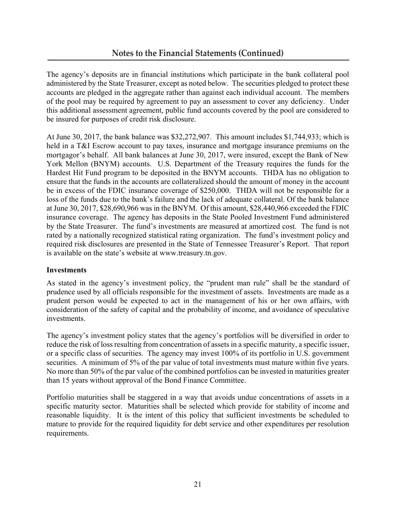The agency's deposits are in financial institutions which participate in the bank collateral pool administered by the State Treasurer, except as noted below. The securities pledged to protect these accounts are pledged in the aggregate rather than against each individual account. The members of the pool may be required by agreement to pay an assessment to cover any deficiency. Under this additional assessment agreement, public fund accounts covered by the pool are considered to be insured for purposes of credit risk disclosure.

At June 30, 2017, the bank balance was \$32,272,907. This amount includes \$1,744,933; which is held in a T&I Escrow account to pay taxes, insurance and mortgage insurance premiums on the mortgagor's behalf. All bank balances at June 30, 2017, were insured, except the Bank of New York Mellon (BNYM) accounts. U.S. Department of the Treasury requires the funds for the Hardest Hit Fund program to be deposited in the BNYM accounts. THDA has no obligation to ensure that the funds in the accounts are collateralized should the amount of money in the account be in excess of the FDIC insurance coverage of \$250,000. THDA will not be responsible for a loss of the funds due to the bank's failure and the lack of adequate collateral. Of the bank balance at June 30, 2017, \$28,690,966 was in the BNYM. Of this amount, \$28,440,966 exceeded the FDIC insurance coverage. The agency has deposits in the State Pooled Investment Fund administered by the State Treasurer. The fund's investments are measured at amortized cost. The fund is not rated by a nationally recognized statistical rating organization. The fund's investment policy and required risk disclosures are presented in the State of Tennessee Treasurer's Report. That report is available on the state's website at [www.treasury.tn.gov.](http://www.treasury.tn.gov) 

### **Investments**

As stated in the agency's investment policy, the "prudent man rule" shall be the standard of prudence used by all officials responsible for the investment of assets. Investments are made as a prudent person would be expected to act in the management of his or her own affairs, with consideration of the safety of capital and the probability of income, and avoidance of speculative investments.

The agency's investment policy states that the agency's portfolios will be diversified in order to reduce the risk of loss resulting from concentration of assets in a specific maturity, a specific issuer, or a specific class of securities. The agency may invest 100% of its portfolio in U.S. government securities. A minimum of 5% of the par value of total investments must mature within five years. No more than 50% of the par value of the combined portfolios can be invested in maturities greater than 15 years without approval of the Bond Finance Committee.

Portfolio maturities shall be staggered in a way that avoids undue concentrations of assets in a specific maturity sector. Maturities shall be selected which provide for stability of income and reasonable liquidity. It is the intent of this policy that sufficient investments be scheduled to mature to provide for the required liquidity for debt service and other expenditures per resolution requirements.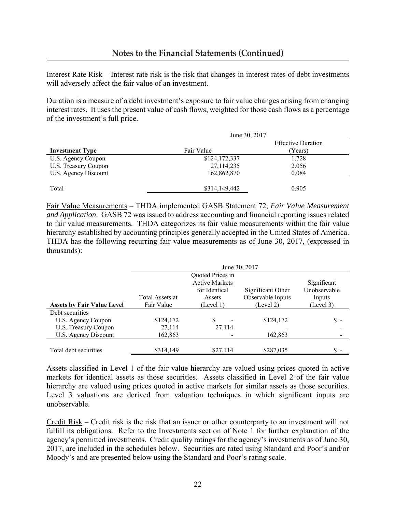Interest Rate Risk – Interest rate risk is the risk that changes in interest rates of debt investments will adversely affect the fair value of an investment.

Duration is a measure of a debt investment's exposure to fair value changes arising from changing interest rates. It uses the present value of cash flows, weighted for those cash flows as a percentage of the investment's full price.

|                        | June 30, 2017 |                           |
|------------------------|---------------|---------------------------|
|                        |               | <b>Effective Duration</b> |
| <b>Investment Type</b> | Fair Value    | (Years)                   |
| U.S. Agency Coupon     | \$124,172,337 | 1.728                     |
| U.S. Treasury Coupon   | 27,114,235    | 2.056                     |
| U.S. Agency Discount   | 162,862,870   | 0.084                     |
|                        |               |                           |
| Total                  | \$314,149,442 | 0.905                     |

Fair Value Measurements – THDA implemented GASB Statement 72, *Fair Value Measurement and Application*. GASB 72 was issued to address accounting and financial reporting issues related to fair value measurements. THDA categorizes its fair value measurements within the fair value hierarchy established by accounting principles generally accepted in the United States of America. THDA has the following recurring fair value measurements as of June 30, 2017, (expressed in thousands):

|                                   | June 30, 2017   |                       |                   |              |  |
|-----------------------------------|-----------------|-----------------------|-------------------|--------------|--|
|                                   |                 | Quoted Prices in      |                   |              |  |
|                                   |                 | <b>Active Markets</b> |                   | Significant  |  |
|                                   |                 | for Identical         | Significant Other | Unobservable |  |
|                                   | Total Assets at | Assets                | Observable Inputs | Inputs       |  |
| <b>Assets by Fair Value Level</b> | Fair Value      | (Level 1)             | (Level 2)         | (Level 3)    |  |
| Debt securities                   |                 |                       |                   |              |  |
| U.S. Agency Coupon                | \$124,172       | S                     | \$124,172         | \$-          |  |
| U.S. Treasury Coupon              | 27,114          | 27,114                |                   |              |  |
| U.S. Agency Discount              | 162,863         |                       | 162,863           |              |  |
|                                   |                 |                       |                   |              |  |
| Total debt securities             | \$314,149       | \$27,114              | \$287,035         |              |  |

Assets classified in Level 1 of the fair value hierarchy are valued using prices quoted in active markets for identical assets as those securities. Assets classified in Level 2 of the fair value hierarchy are valued using prices quoted in active markets for similar assets as those securities. Level 3 valuations are derived from valuation techniques in which significant inputs are unobservable.

Credit Risk – Credit risk is the risk that an issuer or other counterparty to an investment will not fulfill its obligations. Refer to the Investments section of Note 1 for further explanation of the agency's permitted investments. Credit quality ratings for the agency's investments as of June 30, 2017, are included in the schedules below. Securities are rated using Standard and Poor's and/or Moody's and are presented below using the Standard and Poor's rating scale.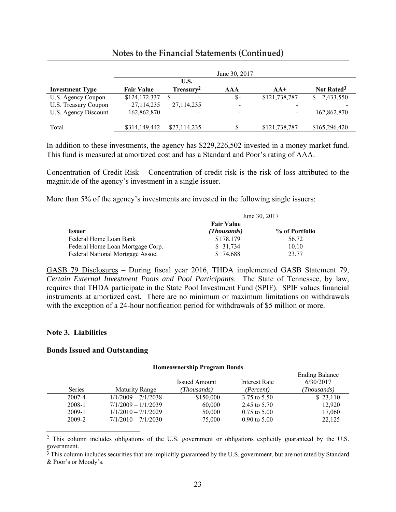|                        |                   | June 30, 2017            |                          |                          |                        |  |  |
|------------------------|-------------------|--------------------------|--------------------------|--------------------------|------------------------|--|--|
|                        |                   | U.S.                     |                          |                          |                        |  |  |
| <b>Investment Type</b> | <b>Fair Value</b> | Treasury <sup>2</sup>    | AAA                      | $AA+$                    | Not Rated <sup>3</sup> |  |  |
| U.S. Agency Coupon     | \$124,172,337     | \$.                      | $S-$                     | \$121,738,787            | 2,433,550              |  |  |
| U.S. Treasury Coupon   | 27,114,235        | 27,114,235               | $\overline{\phantom{a}}$ | $\overline{\phantom{0}}$ |                        |  |  |
| U.S. Agency Discount   | 162,862,870       | $\overline{\phantom{a}}$ | $\overline{\phantom{a}}$ | $\overline{\phantom{a}}$ | 162,862,870            |  |  |
|                        |                   |                          |                          |                          |                        |  |  |
| Total                  | \$314,149,442     | \$27,114,235             | $S-$                     | \$121,738,787            | \$165,296,420          |  |  |

In addition to these investments, the agency has \$229,226,502 invested in a money market fund. This fund is measured at amortized cost and has a Standard and Poor's rating of AAA.

Concentration of Credit Risk – Concentration of credit risk is the risk of loss attributed to the magnitude of the agency's investment in a single issuer.

More than 5% of the agency's investments are invested in the following single issuers:

|                                  |                   | June 30, 2017  |
|----------------------------------|-------------------|----------------|
|                                  | <b>Fair Value</b> |                |
| <i><u><b>Issuer</b></u></i>      | (Thousands)       | % of Portfolio |
| Federal Home Loan Bank           | \$178,179         | 56.72          |
| Federal Home Loan Mortgage Corp. | \$31,734          | 10.10          |
| Federal National Mortgage Assoc. | 74,688            | 23.77          |

GASB 79 Disclosures – During fiscal year 2016, THDA implemented GASB Statement 79, *Certain External Investment Pools and Pool Participants*. The State of Tennessee, by law, requires that THDA participate in the State Pool Investment Fund (SPIF). SPIF values financial instruments at amortized cost. There are no minimum or maximum limitations on withdrawals with the exception of a 24-hour notification period for withdrawals of \$5 million or more.

### **Note 3. Liabilities**

 $\overline{a}$ 

#### **Bonds Issued and Outstanding**

#### **Homeownership Program Bonds**

 $E = \frac{1}{2}$ 

|               |                       | <b>Issued Amount</b> | Interest Rate           | Ending Dalance<br>6/30/2017 |
|---------------|-----------------------|----------------------|-------------------------|-----------------------------|
| <b>Series</b> | <b>Maturity Range</b> | (Thousands)          | (Percent)               | (Thousands)                 |
| 2007-4        | $1/1/2009 - 7/1/2038$ | \$150,000            | 3.75 to 5.50            | \$23,110                    |
| 2008-1        | $7/1/2009 - 1/1/2039$ | 60,000               | 2.45 to 5.70            | 12.920                      |
| 2009-1        | $1/1/2010 - 7/1/2029$ | 50,000               | $0.75$ to $5.00$        | 17,060                      |
| 2009-2        | $7/1/2010 - 7/1/2030$ | 75,000               | $0.90 \text{ to } 5.00$ | 22,125                      |

<sup>&</sup>lt;sup>2</sup> This column includes obligations of the U.S. government or obligations explicitly guaranteed by the U.S. government.

<sup>&</sup>lt;sup>3</sup> This column includes securities that are implicitly guaranteed by the U.S. government, but are not rated by Standard & Poor's or Moody's.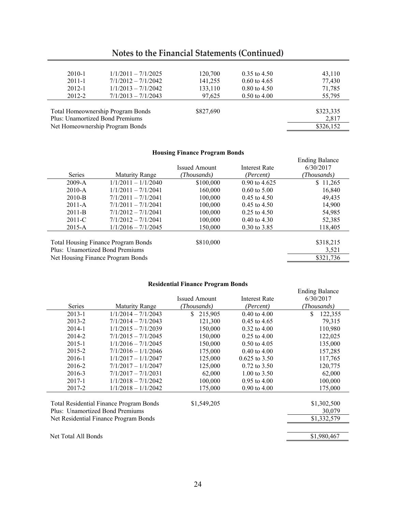| 2010-1                          | $1/1/2011 - 7/1/2025$                                                | 120,700   | $0.35$ to 4.50          | 43,110                          |
|---------------------------------|----------------------------------------------------------------------|-----------|-------------------------|---------------------------------|
| $2011 - 1$                      | $7/1/2012 - 7/1/2042$                                                | 141,255   | $0.60 \text{ to } 4.65$ | 77,430                          |
| $2012 - 1$                      | $1/1/2013 - 7/1/2042$                                                | 133,110   | $0.80 \text{ to } 4.50$ | 71,785                          |
| 2012-2                          | $7/1/2013 - 7/1/2043$                                                | 97,625    | $0.50 \text{ to } 4.00$ | 55,795                          |
| Plus: Unamortized Bond Premiums | Total Homeownership Program Bonds<br>Net Homeownership Program Bonds | \$827,690 |                         | \$323,335<br>2,817<br>\$326,152 |

### **Housing Finance Program Bonds**

| <b>Series</b><br>$2009 - A$<br>$2010-A$ | <b>Maturity Range</b><br>$1/1/2011 - 1/1/2040$<br>$1/1/2011 - 7/1/2041$ | <b>Issued Amount</b><br>(Thousands)<br>\$100,000<br>160,000 | Interest Rate<br>(Percent)<br>$0.90$ to 4.625<br>$0.60 \text{ to } 5.00$ | <b>Ending Balance</b><br>6/30/2017<br>(Thousands)<br>\$11,265<br>16,840 |
|-----------------------------------------|-------------------------------------------------------------------------|-------------------------------------------------------------|--------------------------------------------------------------------------|-------------------------------------------------------------------------|
| $2010 - B$                              | $7/1/2011 - 7/1/2041$                                                   | 100,000                                                     | $0.45$ to $4.50$                                                         | 49.435                                                                  |
| $2011 - A$                              | $7/1/2011 - 7/1/2041$                                                   | 100,000                                                     | $0.45$ to $4.50$                                                         | 14,900                                                                  |
| $2011 - B$                              | $7/1/2012 - 7/1/2041$                                                   | 100,000                                                     | $0.25$ to $4.50$                                                         | 54,985                                                                  |
| $2011 - C$                              | $7/1/2012 - 7/1/2041$                                                   | 100,000                                                     | $0.40 \text{ to } 4.30$                                                  | 52,385                                                                  |
| $2015 - A$                              | $1/1/2016 - 7/1/2045$                                                   | 150,000                                                     | $0.30 \text{ to } 3.85$                                                  | 118,405                                                                 |
| Plus: Unamortized Bond Premiums         | <b>Total Housing Finance Program Bonds</b>                              | \$810,000                                                   |                                                                          | \$318,215<br>3,521                                                      |
| Net Housing Finance Program Bonds       |                                                                         |                                                             |                                                                          | \$321,736                                                               |

#### **Residential Finance Program Bonds**

|                                 |                                         | <b>Issued Amount</b> | <b>Interest Rate</b>    | <b>Ending Balance</b><br>6/30/2017 |
|---------------------------------|-----------------------------------------|----------------------|-------------------------|------------------------------------|
| Series                          | <b>Maturity Range</b>                   | (Thousands)          | (Percent)               | (Thousands)                        |
| $2013 - 1$                      | $1/1/2014 - 7/1/2043$                   | 215,905<br>\$        | $0.40$ to $4.00$        | \$<br>122,355                      |
| 2013-2                          | $7/1/2014 - 7/1/2043$                   | 121,300              | $0.45$ to 4.65          | 79,315                             |
| 2014-1                          | $1/1/2015 - 7/1/2039$                   | 150,000              | $0.32$ to $4.00$        | 110,980                            |
| 2014-2                          | $7/1/2015 - 7/1/2045$                   | 150,000              | $0.25$ to $4.00$        | 122,025                            |
| 2015-1                          | $1/1/2016 - 7/1/2045$                   | 150,000              | $0.50 \text{ to } 4.05$ | 135,000                            |
| 2015-2                          | $7/1/2016 - 1/1/2046$                   | 175,000              | $0.40 \text{ to } 4.00$ | 157,285                            |
| 2016-1                          | $1/1/2017 - 1/1/2047$                   | 125,000              | $0.625$ to 3.50         | 117,765                            |
| 2016-2                          | $7/1/2017 - 1/1/2047$                   | 125,000              | $0.72$ to 3.50          | 120,775                            |
| 2016-3                          | $7/1/2017 - 7/1/2031$                   | 62,000               | 1.00 to $3.50$          | 62,000                             |
| 2017-1                          | $1/1/2018 - 7/1/2042$                   | 100,000              | $0.95$ to $4.00$        | 100,000                            |
| 2017-2                          | $1/1/2018 - 1/1/2042$                   | 175,000              | $0.90 \text{ to } 4.00$ | 175,000                            |
|                                 |                                         |                      |                         |                                    |
|                                 | Total Residential Finance Program Bonds | \$1,549,205          |                         | \$1,302,500                        |
| Plus: Unamortized Bond Premiums |                                         |                      |                         | 30,079                             |
|                                 | Net Residential Finance Program Bonds   |                      |                         | \$1,332,579                        |
|                                 |                                         |                      |                         |                                    |
| Net Total All Bonds             |                                         |                      |                         | \$1,980,467                        |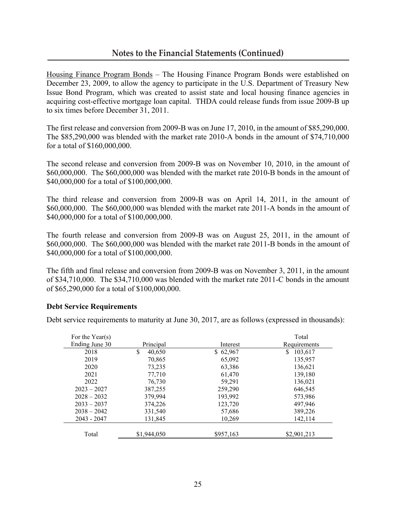Housing Finance Program Bonds – The Housing Finance Program Bonds were established on December 23, 2009, to allow the agency to participate in the U.S. Department of Treasury New Issue Bond Program, which was created to assist state and local housing finance agencies in acquiring cost-effective mortgage loan capital. THDA could release funds from issue 2009-B up to six times before December 31, 2011.

The first release and conversion from 2009-B was on June 17, 2010, in the amount of \$85,290,000. The \$85,290,000 was blended with the market rate 2010-A bonds in the amount of \$74,710,000 for a total of \$160,000,000.

The second release and conversion from 2009-B was on November 10, 2010, in the amount of \$60,000,000. The \$60,000,000 was blended with the market rate 2010-B bonds in the amount of \$40,000,000 for a total of \$100,000,000.

The third release and conversion from 2009-B was on April 14, 2011, in the amount of \$60,000,000. The \$60,000,000 was blended with the market rate 2011-A bonds in the amount of \$40,000,000 for a total of \$100,000,000.

The fourth release and conversion from 2009-B was on August 25, 2011, in the amount of \$60,000,000. The \$60,000,000 was blended with the market rate 2011-B bonds in the amount of \$40,000,000 for a total of \$100,000,000.

The fifth and final release and conversion from 2009-B was on November 3, 2011, in the amount of \$34,710,000. The \$34,710,000 was blended with the market rate 2011-C bonds in the amount of \$65,290,000 for a total of \$100,000,000.

### **Debt Service Requirements**

Debt service requirements to maturity at June 30, 2017, are as follows (expressed in thousands):

| For the $Year(s)$ |              |           | Total          |
|-------------------|--------------|-----------|----------------|
| Ending June 30    | Principal    | Interest  | Requirements   |
| 2018              | \$<br>40,650 | \$62,967  | \$.<br>103,617 |
| 2019              | 70.865       | 65,092    | 135,957        |
| 2020              | 73.235       | 63,386    | 136,621        |
| 2021              | 77,710       | 61,470    | 139,180        |
| 2022              | 76,730       | 59.291    | 136,021        |
| $2023 - 2027$     | 387,255      | 259,290   | 646,545        |
| $2028 - 2032$     | 379,994      | 193.992   | 573.986        |
| $2033 - 2037$     | 374,226      | 123,720   | 497.946        |
| $2038 - 2042$     | 331,540      | 57,686    | 389,226        |
| $2043 - 2047$     | 131,845      | 10.269    | 142,114        |
|                   |              |           |                |
| Total             | \$1,944,050  | \$957,163 | \$2,901,213    |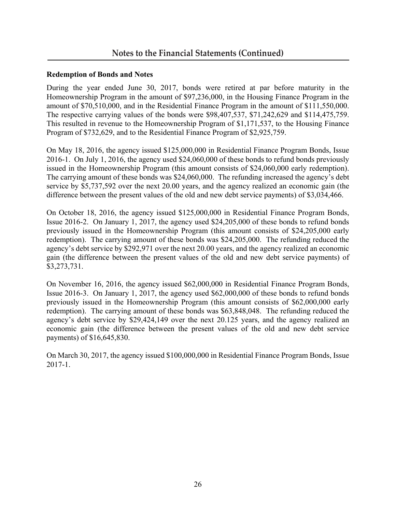### **Redemption of Bonds and Notes**

During the year ended June 30, 2017, bonds were retired at par before maturity in the Homeownership Program in the amount of \$97,236,000, in the Housing Finance Program in the amount of \$70,510,000, and in the Residential Finance Program in the amount of \$111,550,000. The respective carrying values of the bonds were \$98,407,537, \$71,242,629 and \$114,475,759. This resulted in revenue to the Homeownership Program of \$1,171,537, to the Housing Finance Program of \$732,629, and to the Residential Finance Program of \$2,925,759.

On May 18, 2016, the agency issued \$125,000,000 in Residential Finance Program Bonds, Issue 2016-1. On July 1, 2016, the agency used \$24,060,000 of these bonds to refund bonds previously issued in the Homeownership Program (this amount consists of \$24,060,000 early redemption). The carrying amount of these bonds was \$24,060,000. The refunding increased the agency's debt service by \$5,737,592 over the next 20.00 years, and the agency realized an economic gain (the difference between the present values of the old and new debt service payments) of \$3,034,466.

On October 18, 2016, the agency issued \$125,000,000 in Residential Finance Program Bonds, Issue 2016-2. On January 1, 2017, the agency used \$24,205,000 of these bonds to refund bonds previously issued in the Homeownership Program (this amount consists of \$24,205,000 early redemption). The carrying amount of these bonds was \$24,205,000. The refunding reduced the agency's debt service by \$292,971 over the next 20.00 years, and the agency realized an economic gain (the difference between the present values of the old and new debt service payments) of \$3,273,731.

On November 16, 2016, the agency issued \$62,000,000 in Residential Finance Program Bonds, Issue 2016-3. On January 1, 2017, the agency used \$62,000,000 of these bonds to refund bonds previously issued in the Homeownership Program (this amount consists of \$62,000,000 early redemption). The carrying amount of these bonds was \$63,848,048. The refunding reduced the agency's debt service by \$29,424,149 over the next 20.125 years, and the agency realized an economic gain (the difference between the present values of the old and new debt service payments) of \$16,645,830.

On March 30, 2017, the agency issued \$100,000,000 in Residential Finance Program Bonds, Issue 2017-1.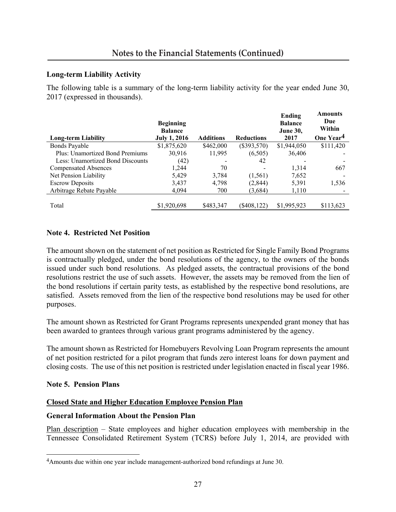### **Long-term Liability Activity**

The following table is a summary of the long-term liability activity for the year ended June 30, 2017 (expressed in thousands).

|                                  | <b>Beginning</b><br><b>Balance</b> |                  |                   | Ending<br><b>Balance</b><br>June 30, | <b>Amounts</b><br>Due<br>Within |
|----------------------------------|------------------------------------|------------------|-------------------|--------------------------------------|---------------------------------|
| <b>Long-term Liability</b>       | <b>July 1, 2016</b>                | <b>Additions</b> | <b>Reductions</b> | 2017                                 | One Year <sup>4</sup>           |
| <b>Bonds Payable</b>             | \$1,875,620                        | \$462,000        | $(\$393,570)$     | \$1,944,050                          | \$111,420                       |
| Plus: Unamortized Bond Premiums  | 30.916                             | 11,995           | (6,505)           | 36,406                               |                                 |
| Less: Unamortized Bond Discounts | (42)                               |                  | 42                |                                      |                                 |
| <b>Compensated Absences</b>      | 1,244                              | 70               |                   | 1,314                                | 667                             |
| Net Pension Liability            | 5,429                              | 3,784            | (1, 561)          | 7,652                                |                                 |
| <b>Escrow Deposits</b>           | 3.437                              | 4.798            | (2,844)           | 5,391                                | 1,536                           |
| Arbitrage Rebate Payable         | 4,094                              | 700              | (3,684)           | 1,110                                |                                 |
| Total                            | \$1,920,698                        | \$483,347        | (\$408,122)       | \$1,995,923                          | \$113,623                       |

### **Note 4. Restricted Net Position**

The amount shown on the statement of net position as Restricted for Single Family Bond Programs is contractually pledged, under the bond resolutions of the agency, to the owners of the bonds issued under such bond resolutions. As pledged assets, the contractual provisions of the bond resolutions restrict the use of such assets. However, the assets may be removed from the lien of the bond resolutions if certain parity tests, as established by the respective bond resolutions, are satisfied. Assets removed from the lien of the respective bond resolutions may be used for other purposes.

The amount shown as Restricted for Grant Programs represents unexpended grant money that has been awarded to grantees through various grant programs administered by the agency.

The amount shown as Restricted for Homebuyers Revolving Loan Program represents the amount of net position restricted for a pilot program that funds zero interest loans for down payment and closing costs. The use of this net position is restricted under legislation enacted in fiscal year 1986.

### **Note 5. Pension Plans**

 $\overline{a}$ 

### **Closed State and Higher Education Employee Pension Plan**

### **General Information About the Pension Plan**

Plan description – State employees and higher education employees with membership in the Tennessee Consolidated Retirement System (TCRS) before July 1, 2014, are provided with

<sup>4</sup>Amounts due within one year include management-authorized bond refundings at June 30.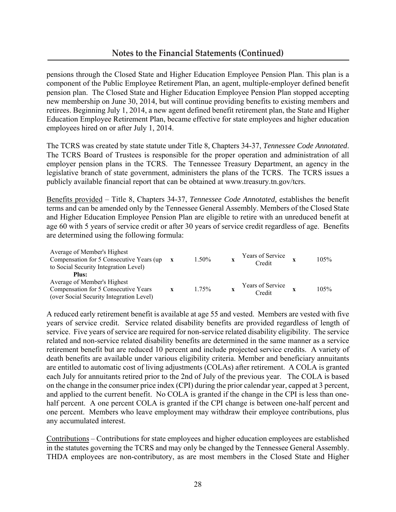pensions through the Closed State and Higher Education Employee Pension Plan. This plan is a component of the Public Employee Retirement Plan, an agent, multiple-employer defined benefit pension plan. The Closed State and Higher Education Employee Pension Plan stopped accepting new membership on June 30, 2014, but will continue providing benefits to existing members and retirees. Beginning July 1, 2014, a new agent defined benefit retirement plan, the State and Higher Education Employee Retirement Plan, became effective for state employees and higher education employees hired on or after July 1, 2014.

The TCRS was created by state statute under Title 8, Chapters 34-37, *Tennessee Code Annotated*. The TCRS Board of Trustees is responsible for the proper operation and administration of all employer pension plans in the TCRS. The Tennessee Treasury Department, an agency in the legislative branch of state government, administers the plans of the TCRS. The TCRS issues a publicly available financial report that can be obtained at [www.treasury.tn.gov/tcrs.](http://www.treasury.tn.gov/tcrs) 

Benefits provided – Title 8, Chapters 34-37, *Tennessee Code Annotated,* establishes the benefit terms and can be amended only by the Tennessee General Assembly. Members of the Closed State and Higher Education Employee Pension Plan are eligible to retire with an unreduced benefit at age 60 with 5 years of service credit or after 30 years of service credit regardless of age. Benefits are determined using the following formula:

| Average of Member's Highest<br>Compensation for 5 Consecutive Years (up<br>to Social Security Integration Level) | $\mathbf{x}$ | 1.50%    | X | Years of Service<br>Credit | 105% |
|------------------------------------------------------------------------------------------------------------------|--------------|----------|---|----------------------------|------|
| Plus:                                                                                                            |              |          |   |                            |      |
| Average of Member's Highest                                                                                      |              |          |   |                            |      |
| Compensation for 5 Consecutive Years                                                                             | X            | $1.75\%$ |   | Years of Service<br>Credit | 105% |
| (over Social Security Integration Level)                                                                         |              |          |   |                            |      |

A reduced early retirement benefit is available at age 55 and vested. Members are vested with five years of service credit. Service related disability benefits are provided regardless of length of service. Five years of service are required for non-service related disability eligibility. The service related and non-service related disability benefits are determined in the same manner as a service retirement benefit but are reduced 10 percent and include projected service credits. A variety of death benefits are available under various eligibility criteria. Member and beneficiary annuitants are entitled to automatic cost of living adjustments (COLAs) after retirement. A COLA is granted each July for annuitants retired prior to the 2nd of July of the previous year. The COLA is based on the change in the consumer price index (CPI) during the prior calendar year, capped at 3 percent, and applied to the current benefit. No COLA is granted if the change in the CPI is less than onehalf percent. A one percent COLA is granted if the CPI change is between one-half percent and one percent. Members who leave employment may withdraw their employee contributions, plus any accumulated interest.

Contributions – Contributions for state employees and higher education employees are established in the statutes governing the TCRS and may only be changed by the Tennessee General Assembly. THDA employees are non-contributory, as are most members in the Closed State and Higher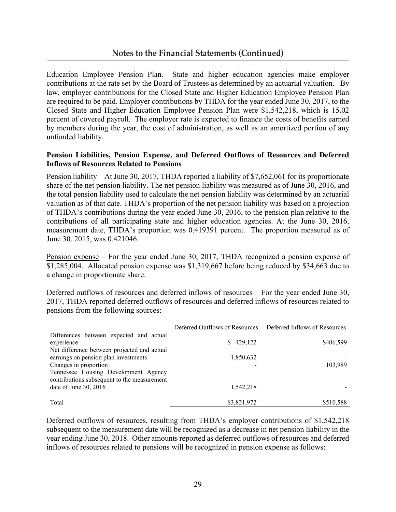Education Employee Pension Plan. State and higher education agencies make employer contributions at the rate set by the Board of Trustees as determined by an actuarial valuation. By law, employer contributions for the Closed State and Higher Education Employee Pension Plan are required to be paid. Employer contributions by THDA for the year ended June 30, 2017, to the Closed State and Higher Education Employee Pension Plan were \$1,542,218, which is 15.02 percent of covered payroll. The employer rate is expected to finance the costs of benefits earned by members during the year, the cost of administration, as well as an amortized portion of any unfunded liability.

### **Pension Liabilities, Pension Expense, and Deferred Outflows of Resources and Deferred Inflows of Resources Related to Pensions**

Pension liability – At June 30, 2017, THDA reported a liability of \$7,652,061 for its proportionate share of the net pension liability. The net pension liability was measured as of June 30, 2016, and the total pension liability used to calculate the net pension liability was determined by an actuarial valuation as of that date. THDA's proportion of the net pension liability was based on a projection of THDA's contributions during the year ended June 30, 2016, to the pension plan relative to the contributions of all participating state and higher education agencies. At the June 30, 2016, measurement date, THDA's proportion was 0.419391 percent. The proportion measured as of June 30, 2015, was 0.421046.

Pension expense – For the year ended June 30, 2017, THDA recognized a pension expense of \$1,285,004. Allocated pension expense was \$1,319,667 before being reduced by \$34,663 due to a change in proportionate share.

Deferred outflows of resources and deferred inflows of resources - For the year ended June 30, 2017, THDA reported deferred outflows of resources and deferred inflows of resources related to pensions from the following sources:

|                                             | Deferred Outflows of Resources Deferred Inflows of Resources |           |
|---------------------------------------------|--------------------------------------------------------------|-----------|
| Differences between expected and actual     |                                                              |           |
| experience                                  | \$429,122                                                    | \$406,599 |
| Net difference between projected and actual |                                                              |           |
| earnings on pension plan investments        | 1,850,632                                                    |           |
| Changes in proportion                       |                                                              | 103,989   |
| Tennessee Housing Development Agency        |                                                              |           |
| contributions subsequent to the measurement |                                                              |           |
| date of June $30, 2016$                     | 1,542,218                                                    |           |
|                                             |                                                              |           |
| Total                                       | \$3,821,972                                                  | \$510,588 |

Deferred outflows of resources, resulting from THDA's employer contributions of \$1,542,218 subsequent to the measurement date will be recognized as a decrease in net pension liability in the year ending June 30, 2018. Other amounts reported as deferred outflows of resources and deferred inflows of resources related to pensions will be recognized in pension expense as follows: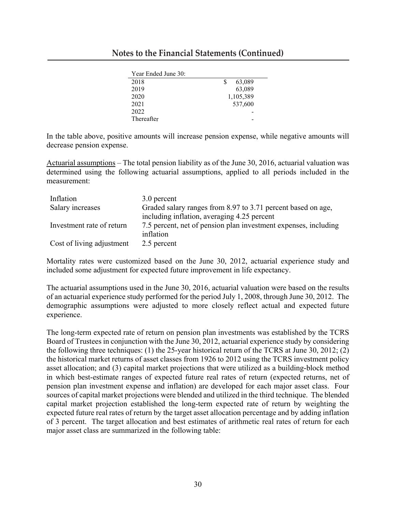| Year Ended June 30: |           |
|---------------------|-----------|
| 2018                | 63,089    |
| 2019                | 63,089    |
| 2020                | 1,105,389 |
| 2021                | 537,600   |
| 2022                |           |
| Thereafter          |           |

In the table above, positive amounts will increase pension expense, while negative amounts will decrease pension expense.

Actuarial assumptions – The total pension liability as of the June 30, 2016, actuarial valuation was determined using the following actuarial assumptions, applied to all periods included in the measurement:

| Inflation                 | 3.0 percent                                                     |
|---------------------------|-----------------------------------------------------------------|
| Salary increases          | Graded salary ranges from 8.97 to 3.71 percent based on age,    |
|                           | including inflation, averaging 4.25 percent                     |
| Investment rate of return | 7.5 percent, net of pension plan investment expenses, including |
|                           | inflation                                                       |
| Cost of living adjustment | 2.5 percent                                                     |

Mortality rates were customized based on the June 30, 2012, actuarial experience study and included some adjustment for expected future improvement in life expectancy.

The actuarial assumptions used in the June 30, 2016, actuarial valuation were based on the results of an actuarial experience study performed for the period July 1, 2008, through June 30, 2012. The demographic assumptions were adjusted to more closely reflect actual and expected future experience.

The long-term expected rate of return on pension plan investments was established by the TCRS Board of Trustees in conjunction with the June 30, 2012, actuarial experience study by considering the following three techniques: (1) the 25-year historical return of the TCRS at June 30, 2012; (2) the historical market returns of asset classes from 1926 to 2012 using the TCRS investment policy asset allocation; and (3) capital market projections that were utilized as a building-block method in which best-estimate ranges of expected future real rates of return (expected returns, net of pension plan investment expense and inflation) are developed for each major asset class. Four sources of capital market projections were blended and utilized in the third technique. The blended capital market projection established the long-term expected rate of return by weighting the expected future real rates of return by the target asset allocation percentage and by adding inflation of 3 percent. The target allocation and best estimates of arithmetic real rates of return for each major asset class are summarized in the following table: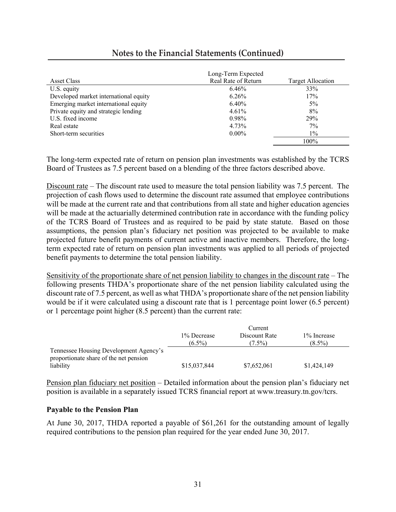|                                       | Long-Term Expected  |                   |
|---------------------------------------|---------------------|-------------------|
| Asset Class                           | Real Rate of Return | Target Allocation |
| U.S. equity                           | $6.46\%$            | 33%               |
| Developed market international equity | $6.26\%$            | 17%               |
| Emerging market international equity  | $6.40\%$            | $5\%$             |
| Private equity and strategic lending  | $4.61\%$            | 8%                |
| U.S. fixed income                     | $0.98\%$            | 29%               |
| Real estate                           | 4.73%               | $7\%$             |
| Short-term securities                 | $0.00\%$            | $1\%$             |
|                                       |                     | 100%              |

The long-term expected rate of return on pension plan investments was established by the TCRS Board of Trustees as 7.5 percent based on a blending of the three factors described above.

Discount rate – The discount rate used to measure the total pension liability was 7.5 percent. The projection of cash flows used to determine the discount rate assumed that employee contributions will be made at the current rate and that contributions from all state and higher education agencies will be made at the actuarially determined contribution rate in accordance with the funding policy of the TCRS Board of Trustees and as required to be paid by state statute. Based on those assumptions, the pension plan's fiduciary net position was projected to be available to make projected future benefit payments of current active and inactive members. Therefore, the longterm expected rate of return on pension plan investments was applied to all periods of projected benefit payments to determine the total pension liability.

Sensitivity of the proportionate share of net pension liability to changes in the discount rate – The following presents THDA's proportionate share of the net pension liability calculated using the discount rate of 7.5 percent, as well as what THDA's proportionate share of the net pension liability would be if it were calculated using a discount rate that is 1 percentage point lower (6.5 percent) or 1 percentage point higher (8.5 percent) than the current rate:

|                                                                                  | Current                      |             |             |
|----------------------------------------------------------------------------------|------------------------------|-------------|-------------|
|                                                                                  | Discount Rate<br>1% Decrease |             | 1% Increase |
|                                                                                  | $(6.5\%)$                    | $(7.5\%)$   | $(8.5\%)$   |
| Tennessee Housing Development Agency's<br>proportionate share of the net pension |                              |             |             |
| liability                                                                        | \$15,037,844                 | \$7,652,061 | \$1,424,149 |

Pension plan fiduciary net position – Detailed information about the pension plan's fiduciary net position is available in a separately issued TCRS financial report at [www.treasury.tn.gov/tcrs.](http://www.treasury.tn.gov/tcrs)

### **Payable to the Pension Plan**

At June 30, 2017, THDA reported a payable of \$61,261 for the outstanding amount of legally required contributions to the pension plan required for the year ended June 30, 2017.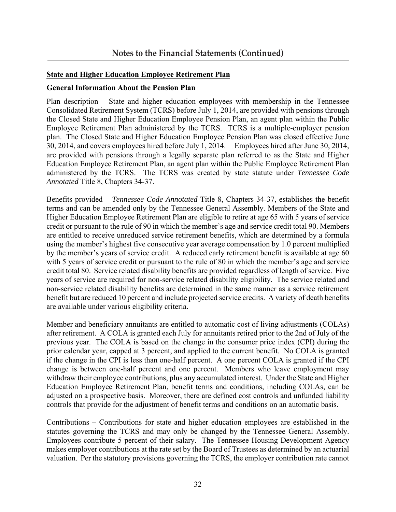### **State and Higher Education Employee Retirement Plan**

### **General Information About the Pension Plan**

Plan description – State and higher education employees with membership in the Tennessee Consolidated Retirement System (TCRS) before July 1, 2014, are provided with pensions through the Closed State and Higher Education Employee Pension Plan, an agent plan within the Public Employee Retirement Plan administered by the TCRS. TCRS is a multiple-employer pension plan. The Closed State and Higher Education Employee Pension Plan was closed effective June 30, 2014, and covers employees hired before July 1, 2014. Employees hired after June 30, 2014, are provided with pensions through a legally separate plan referred to as the State and Higher Education Employee Retirement Plan, an agent plan within the Public Employee Retirement Plan administered by the TCRS. The TCRS was created by state statute under *Tennessee Code Annotated* Title 8, Chapters 34-37.

Benefits provided – *Tennessee Code Annotated* Title 8, Chapters 34-37, establishes the benefit terms and can be amended only by the Tennessee General Assembly. Members of the State and Higher Education Employee Retirement Plan are eligible to retire at age 65 with 5 years of service credit or pursuant to the rule of 90 in which the member's age and service credit total 90. Members are entitled to receive unreduced service retirement benefits, which are determined by a formula using the member's highest five consecutive year average compensation by 1.0 percent multiplied by the member's years of service credit. A reduced early retirement benefit is available at age 60 with 5 years of service credit or pursuant to the rule of 80 in which the member's age and service credit total 80. Service related disability benefits are provided regardless of length of service. Five years of service are required for non-service related disability eligibility. The service related and non-service related disability benefits are determined in the same manner as a service retirement benefit but are reduced 10 percent and include projected service credits. A variety of death benefits are available under various eligibility criteria.

Member and beneficiary annuitants are entitled to automatic cost of living adjustments (COLAs) after retirement. A COLA is granted each July for annuitants retired prior to the 2nd of July of the previous year. The COLA is based on the change in the consumer price index (CPI) during the prior calendar year, capped at 3 percent, and applied to the current benefit. No COLA is granted if the change in the CPI is less than one-half percent. A one percent COLA is granted if the CPI change is between one-half percent and one percent. Members who leave employment may withdraw their employee contributions, plus any accumulated interest. Under the State and Higher Education Employee Retirement Plan, benefit terms and conditions, including COLAs, can be adjusted on a prospective basis. Moreover, there are defined cost controls and unfunded liability controls that provide for the adjustment of benefit terms and conditions on an automatic basis.

Contributions – Contributions for state and higher education employees are established in the statutes governing the TCRS and may only be changed by the Tennessee General Assembly. Employees contribute 5 percent of their salary. The Tennessee Housing Development Agency makes employer contributions at the rate set by the Board of Trustees as determined by an actuarial valuation. Per the statutory provisions governing the TCRS, the employer contribution rate cannot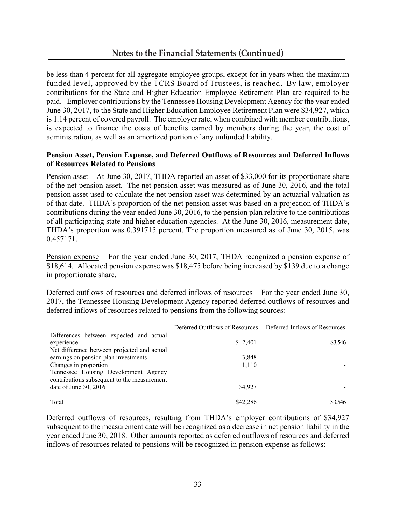be less than 4 percent for all aggregate employee groups, except for in years when the maximum funded level, approved by the TCRS Board of Trustees, is reached. By law, employer contributions for the State and Higher Education Employee Retirement Plan are required to be paid. Employer contributions by the Tennessee Housing Development Agency for the year ended June 30, 2017, to the State and Higher Education Employee Retirement Plan were \$34,927, which is 1.14 percent of covered payroll. The employer rate, when combined with member contributions, is expected to finance the costs of benefits earned by members during the year, the cost of administration, as well as an amortized portion of any unfunded liability.

### **Pension Asset, Pension Expense, and Deferred Outflows of Resources and Deferred Inflows of Resources Related to Pensions**

Pension asset – At June 30, 2017, THDA reported an asset of \$33,000 for its proportionate share of the net pension asset. The net pension asset was measured as of June 30, 2016, and the total pension asset used to calculate the net pension asset was determined by an actuarial valuation as of that date. THDA's proportion of the net pension asset was based on a projection of THDA's contributions during the year ended June 30, 2016, to the pension plan relative to the contributions of all participating state and higher education agencies. At the June 30, 2016, measurement date, THDA's proportion was 0.391715 percent. The proportion measured as of June 30, 2015, was 0.457171.

Pension expense – For the year ended June 30, 2017, THDA recognized a pension expense of \$18,614. Allocated pension expense was \$18,475 before being increased by \$139 due to a change in proportionate share.

Deferred outflows of resources and deferred inflows of resources – For the year ended June 30, 2017, the Tennessee Housing Development Agency reported deferred outflows of resources and deferred inflows of resources related to pensions from the following sources:

|                                             | Deferred Outflows of Resources Deferred Inflows of Resources |         |
|---------------------------------------------|--------------------------------------------------------------|---------|
| Differences between expected and actual     |                                                              |         |
| experience                                  | \$2,401                                                      | \$3,546 |
| Net difference between projected and actual |                                                              |         |
| earnings on pension plan investments        | 3,848                                                        |         |
| Changes in proportion                       | 1,110                                                        |         |
| Tennessee Housing Development Agency        |                                                              |         |
| contributions subsequent to the measurement |                                                              |         |
| date of June $30, 2016$                     | 34,927                                                       |         |
|                                             |                                                              |         |
| Total                                       | \$42,286                                                     | \$3.546 |

Deferred outflows of resources, resulting from THDA's employer contributions of \$34,927 subsequent to the measurement date will be recognized as a decrease in net pension liability in the year ended June 30, 2018. Other amounts reported as deferred outflows of resources and deferred inflows of resources related to pensions will be recognized in pension expense as follows: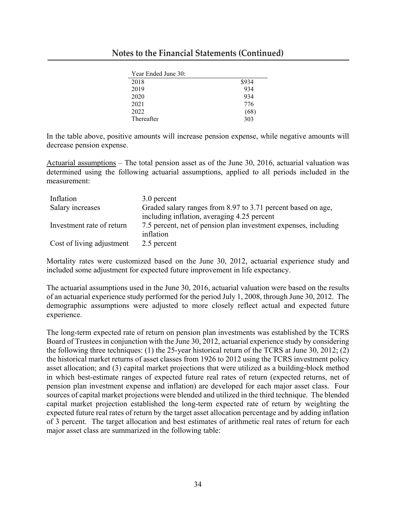| Year Ended June 30: |       |
|---------------------|-------|
| 2018                | \$934 |
| 2019                | 934   |
| 2020                | 934   |
| 2021                | 776   |
| 2022                | (68)  |
| Thereafter          | 303   |

In the table above, positive amounts will increase pension expense, while negative amounts will decrease pension expense.

Actuarial assumptions – The total pension asset as of the June 30, 2016, actuarial valuation was determined using the following actuarial assumptions, applied to all periods included in the measurement:

| Inflation                 | 3.0 percent                                                     |
|---------------------------|-----------------------------------------------------------------|
| Salary increases          | Graded salary ranges from 8.97 to 3.71 percent based on age,    |
|                           | including inflation, averaging 4.25 percent                     |
| Investment rate of return | 7.5 percent, net of pension plan investment expenses, including |
|                           | inflation                                                       |
| Cost of living adjustment | 2.5 percent                                                     |

Mortality rates were customized based on the June 30, 2012, actuarial experience study and included some adjustment for expected future improvement in life expectancy.

The actuarial assumptions used in the June 30, 2016, actuarial valuation were based on the results of an actuarial experience study performed for the period July 1, 2008, through June 30, 2012. The demographic assumptions were adjusted to more closely reflect actual and expected future experience.

The long-term expected rate of return on pension plan investments was established by the TCRS Board of Trustees in conjunction with the June 30, 2012, actuarial experience study by considering the following three techniques: (1) the 25-year historical return of the TCRS at June 30, 2012; (2) the historical market returns of asset classes from 1926 to 2012 using the TCRS investment policy asset allocation; and (3) capital market projections that were utilized as a building-block method in which best-estimate ranges of expected future real rates of return (expected returns, net of pension plan investment expense and inflation) are developed for each major asset class. Four sources of capital market projections were blended and utilized in the third technique. The blended capital market projection established the long-term expected rate of return by weighting the expected future real rates of return by the target asset allocation percentage and by adding inflation of 3 percent. The target allocation and best estimates of arithmetic real rates of return for each major asset class are summarized in the following table: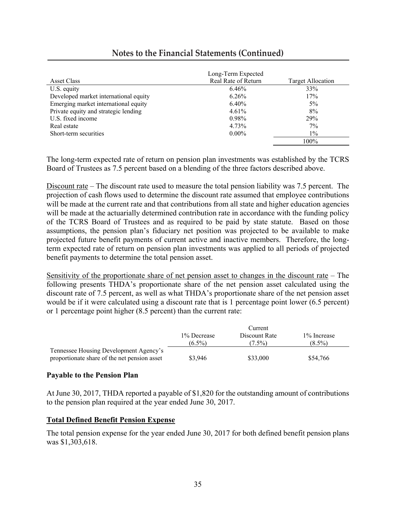|                                       | Long-Term Expected  |                   |
|---------------------------------------|---------------------|-------------------|
| Asset Class                           | Real Rate of Return | Target Allocation |
| U.S. equity                           | 6.46%               | 33%               |
| Developed market international equity | $6.26\%$            | 17%               |
| Emerging market international equity  | $6.40\%$            | $5\%$             |
| Private equity and strategic lending  | $4.61\%$            | 8%                |
| U.S. fixed income                     | $0.98\%$            | 29%               |
| Real estate                           | 4.73%               | $7\%$             |
| Short-term securities                 | $0.00\%$            | $1\%$             |
|                                       |                     | 100%              |

The long-term expected rate of return on pension plan investments was established by the TCRS Board of Trustees as 7.5 percent based on a blending of the three factors described above.

Discount rate – The discount rate used to measure the total pension liability was 7.5 percent. The projection of cash flows used to determine the discount rate assumed that employee contributions will be made at the current rate and that contributions from all state and higher education agencies will be made at the actuarially determined contribution rate in accordance with the funding policy of the TCRS Board of Trustees and as required to be paid by state statute. Based on those assumptions, the pension plan's fiduciary net position was projected to be available to make projected future benefit payments of current active and inactive members. Therefore, the longterm expected rate of return on pension plan investments was applied to all periods of projected benefit payments to determine the total pension asset.

Sensitivity of the proportionate share of net pension asset to changes in the discount rate – The following presents THDA's proportionate share of the net pension asset calculated using the discount rate of 7.5 percent, as well as what THDA's proportionate share of the net pension asset would be if it were calculated using a discount rate that is 1 percentage point lower (6.5 percent) or 1 percentage point higher (8.5 percent) than the current rate:

|                                              | Current                                     |           |           |
|----------------------------------------------|---------------------------------------------|-----------|-----------|
|                                              | 1% Increase<br>Discount Rate<br>1% Decrease |           |           |
|                                              | $(6.5\%)$                                   | $(7.5\%)$ | $(8.5\%)$ |
| Tennessee Housing Development Agency's       |                                             |           |           |
| proportionate share of the net pension asset | \$3,946                                     | \$33,000  | \$54,766  |

### **Payable to the Pension Plan**

At June 30, 2017, THDA reported a payable of \$1,820 for the outstanding amount of contributions to the pension plan required at the year ended June 30, 2017.

### **Total Defined Benefit Pension Expense**

The total pension expense for the year ended June 30, 2017 for both defined benefit pension plans was \$1,303,618.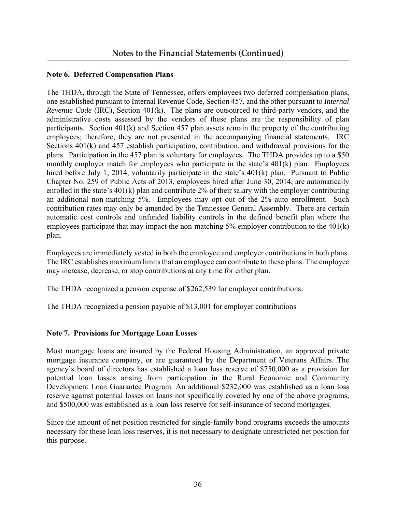### **Note 6. Deferred Compensation Plans**

The THDA, through the State of Tennessee, offers employees two deferred compensation plans, one established pursuant to Internal Revenue Code, Section 457, and the other pursuant to *Internal Revenue Code* (IRC), Section 401(k). The plans are outsourced to third-party vendors, and the administrative costs assessed by the vendors of these plans are the responsibility of plan participants. Section 401(k) and Section 457 plan assets remain the property of the contributing employees; therefore, they are not presented in the accompanying financial statements. IRC Sections 401(k) and 457 establish participation, contribution, and withdrawal provisions for the plans. Participation in the 457 plan is voluntary for employees. The THDA provides up to a \$50 monthly employer match for employees who participate in the state's 401(k) plan. Employees hired before July 1, 2014, voluntarily participate in the state's 401(k) plan. Pursuant to Public Chapter No. 259 of Public Acts of 2013, employees hired after June 30, 2014, are automatically enrolled in the state's 401(k) plan and contribute 2% of their salary with the employer contributing an additional non-matching 5%. Employees may opt out of the 2% auto enrollment. Such contribution rates may only be amended by the Tennessee General Assembly. There are certain automatic cost controls and unfunded liability controls in the defined benefit plan where the employees participate that may impact the non-matching  $5\%$  employer contribution to the  $401(k)$ plan.

Employees are immediately vested in both the employee and employer contributions in both plans. The IRC establishes maximum limits that an employee can contribute to these plans. The employee may increase, decrease, or stop contributions at any time for either plan.

The THDA recognized a pension expense of \$262,539 for employer contributions.

The THDA recognized a pension payable of \$13,001 for employer contributions

### **Note 7. Provisions for Mortgage Loan Losses**

Most mortgage loans are insured by the Federal Housing Administration, an approved private mortgage insurance company, or are guaranteed by the Department of Veterans Affairs. The agency's board of directors has established a loan loss reserve of \$750,000 as a provision for potential loan losses arising from participation in the Rural Economic and Community Development Loan Guarantee Program. An additional \$232,000 was established as a loan loss reserve against potential losses on loans not specifically covered by one of the above programs, and \$500,000 was established as a loan loss reserve for self-insurance of second mortgages.

Since the amount of net position restricted for single-family bond programs exceeds the amounts necessary for these loan loss reserves, it is not necessary to designate unrestricted net position for this purpose.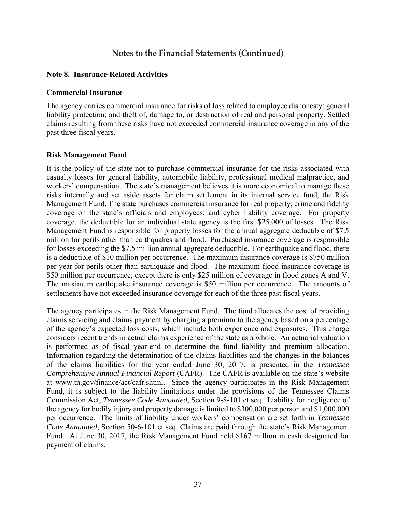### **Note 8. Insurance-Related Activities**

### **Commercial Insurance**

The agency carries commercial insurance for risks of loss related to employee dishonesty; general liability protection; and theft of, damage to, or destruction of real and personal property. Settled claims resulting from these risks have not exceeded commercial insurance coverage in any of the past three fiscal years.

### **Risk Management Fund**

It is the policy of the state not to purchase commercial insurance for the risks associated with casualty losses for general liability, automobile liability, professional medical malpractice, and workers' compensation. The state's management believes it is more economical to manage these risks internally and set aside assets for claim settlement in its internal service fund, the Risk Management Fund. The state purchases commercial insurance for real property; crime and fidelity coverage on the state's officials and employees; and cyber liability coverage. For property coverage, the deductible for an individual state agency is the first \$25,000 of losses. The Risk Management Fund is responsible for property losses for the annual aggregate deductible of \$7.5 million for perils other than earthquakes and flood. Purchased insurance coverage is responsible for losses exceeding the \$7.5 million annual aggregate deductible. For earthquake and flood, there is a deductible of \$10 million per occurrence. The maximum insurance coverage is \$750 million per year for perils other than earthquake and flood. The maximum flood insurance coverage is \$50 million per occurrence, except there is only \$25 million of coverage in flood zones A and V. The maximum earthquake insurance coverage is \$50 million per occurrence. The amounts of settlements have not exceeded insurance coverage for each of the three past fiscal years.

The agency participates in the Risk Management Fund. The fund allocates the cost of providing claims servicing and claims payment by charging a premium to the agency based on a percentage of the agency's expected loss costs, which include both experience and exposures. This charge considers recent trends in actual claims experience of the state as a whole. An actuarial valuation is performed as of fiscal year-end to determine the fund liability and premium allocation. Information regarding the determination of the claims liabilities and the changes in the balances of the claims liabilities for the year ended June 30, 2017, is presented in the *Tennessee Comprehensive Annual Financial Report* (CAFR). The CAFR is available on the state's website at [www.tn.gov/finance/act/cafr.shtml. S](http://www.tn.gov/finance/act/cafr.shtml)ince the agency participates in the Risk Management Fund, it is subject to the liability limitations under the provisions of the Tennessee Claims Commission Act, *Tennessee Code Annotated*, Section 9-8-101 et seq. Liability for negligence of the agency for bodily injury and property damage is limited to \$300,000 per person and \$1,000,000 per occurrence. The limits of liability under workers' compensation are set forth in *Tennessee Code Annotated*, Section 50-6-101 et seq. Claims are paid through the state's Risk Management Fund. At June 30, 2017, the Risk Management Fund held \$167 million in cash designated for payment of claims.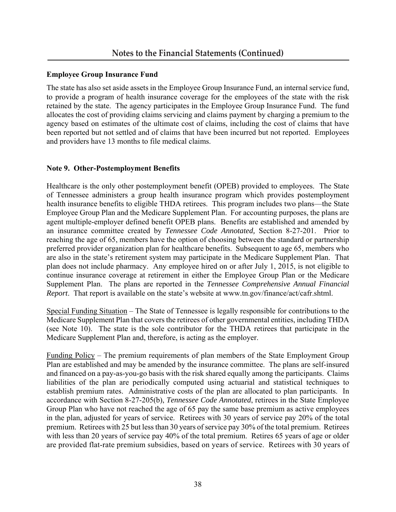### **Employee Group Insurance Fund**

The state has also set aside assets in the Employee Group Insurance Fund, an internal service fund, to provide a program of health insurance coverage for the employees of the state with the risk retained by the state. The agency participates in the Employee Group Insurance Fund. The fund allocates the cost of providing claims servicing and claims payment by charging a premium to the agency based on estimates of the ultimate cost of claims, including the cost of claims that have been reported but not settled and of claims that have been incurred but not reported. Employees and providers have 13 months to file medical claims.

### **Note 9. Other-Postemployment Benefits**

Healthcare is the only other postemployment benefit (OPEB) provided to employees. The State of Tennessee administers a group health insurance program which provides postemployment health insurance benefits to eligible THDA retirees. This program includes two plans—the State Employee Group Plan and the Medicare Supplement Plan. For accounting purposes, the plans are agent multiple-employer defined benefit OPEB plans. Benefits are established and amended by an insurance committee created by *Tennessee Code Annotated,* Section 8-27-201. Prior to reaching the age of 65, members have the option of choosing between the standard or partnership preferred provider organization plan for healthcare benefits. Subsequent to age 65, members who are also in the state's retirement system may participate in the Medicare Supplement Plan. That plan does not include pharmacy. Any employee hired on or after July 1, 2015, is not eligible to continue insurance coverage at retirement in either the Employee Group Plan or the Medicare Supplement Plan. The plans are reported in the *Tennessee Comprehensive Annual Financial Report*. That report is available on the state's website at [www.tn.gov/finance/act/cafr.shtml.](http://www.tn.gov/finance/act/cafr.shtml) 

Special Funding Situation – The State of Tennessee is legally responsible for contributions to the Medicare Supplement Plan that covers the retirees of other governmental entities, including THDA (see Note 10). The state is the sole contributor for the THDA retirees that participate in the Medicare Supplement Plan and, therefore, is acting as the employer.

Funding Policy – The premium requirements of plan members of the State Employment Group Plan are established and may be amended by the insurance committee. The plans are self-insured and financed on a pay-as-you-go basis with the risk shared equally among the participants. Claims liabilities of the plan are periodically computed using actuarial and statistical techniques to establish premium rates. Administrative costs of the plan are allocated to plan participants. In accordance with Section 8-27-205(b), *Tennessee Code Annotated*, retirees in the State Employee Group Plan who have not reached the age of 65 pay the same base premium as active employees in the plan, adjusted for years of service. Retirees with 30 years of service pay 20% of the total premium. Retirees with 25 but less than 30 years of service pay 30% of the total premium. Retirees with less than 20 years of service pay 40% of the total premium. Retires 65 years of age or older are provided flat-rate premium subsidies, based on years of service. Retirees with 30 years of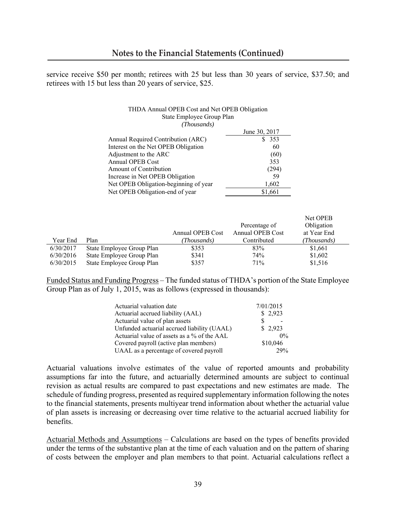service receive \$50 per month; retirees with 25 but less than 30 years of service, \$37.50; and retirees with 15 but less than 20 years of service, \$25.

| THDA Annual OPEB Cost and Net OPEB Obligation |               |
|-----------------------------------------------|---------------|
| State Employee Group Plan                     |               |
| (Thousands)                                   |               |
|                                               | June 30, 2017 |
| Annual Required Contribution (ARC)            | 353<br>S.     |
| Interest on the Net OPEB Obligation           | 60            |
| Adjustment to the ARC                         | (60)          |
| <b>Annual OPEB Cost</b>                       | 353           |
| Amount of Contribution                        | (294)         |
| Increase in Net OPEB Obligation               | 59            |
| Net OPEB Obligation-beginning of year         | 1,602         |
| Net OPEB Obligation-end of year               | \$1,661       |

|           |                           |                  |                         | Net OPEB    |
|-----------|---------------------------|------------------|-------------------------|-------------|
|           |                           |                  | Percentage of           | Obligation  |
|           |                           | Annual OPEB Cost | <b>Annual OPEB Cost</b> | at Year End |
| Year End  | Plan                      | (Thousands)      | Contributed             | (Thousands) |
| 6/30/2017 | State Employee Group Plan | \$353            | 83%                     | \$1,661     |
| 6/30/2016 | State Employee Group Plan | \$341            | 74%                     | \$1,602     |
| 6/30/2015 | State Employee Group Plan | \$357            | 71%                     | \$1,516     |

Funded Status and Funding Progress – The funded status of THDA's portion of the State Employee Group Plan as of July 1, 2015, was as follows (expressed in thousands):

| Actuarial valuation date                    | 7/01/2015 |
|---------------------------------------------|-----------|
| Actuarial accrued liability (AAL)           | \$2,923   |
| Actuarial value of plan assets              |           |
| Unfunded actuarial accrued liability (UAAL) | \$2,923   |
| Actuarial value of assets as a % of the AAL | $0\%$     |
| Covered payroll (active plan members)       | \$10,046  |
| UAAL as a percentage of covered payroll     | 29%       |

Actuarial valuations involve estimates of the value of reported amounts and probability assumptions far into the future, and actuarially determined amounts are subject to continual revision as actual results are compared to past expectations and new estimates are made. The schedule of funding progress, presented as required supplementary information following the notes to the financial statements, presents multiyear trend information about whether the actuarial value of plan assets is increasing or decreasing over time relative to the actuarial accrued liability for benefits.

Actuarial Methods and Assumptions – Calculations are based on the types of benefits provided under the terms of the substantive plan at the time of each valuation and on the pattern of sharing of costs between the employer and plan members to that point. Actuarial calculations reflect a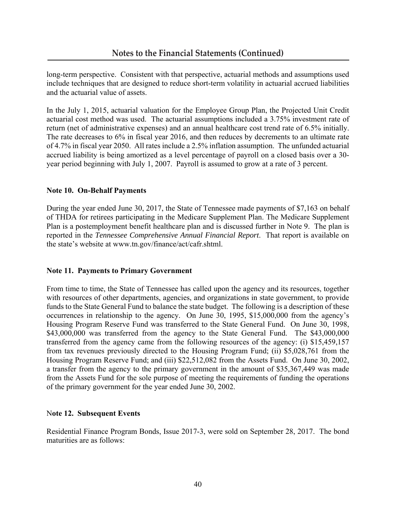long-term perspective. Consistent with that perspective, actuarial methods and assumptions used include techniques that are designed to reduce short-term volatility in actuarial accrued liabilities and the actuarial value of assets.

In the July 1, 2015, actuarial valuation for the Employee Group Plan, the Projected Unit Credit actuarial cost method was used. The actuarial assumptions included a 3.75% investment rate of return (net of administrative expenses) and an annual healthcare cost trend rate of 6.5% initially. The rate decreases to 6% in fiscal year 2016, and then reduces by decrements to an ultimate rate of 4.7% in fiscal year 2050. All rates include a 2.5% inflation assumption. The unfunded actuarial accrued liability is being amortized as a level percentage of payroll on a closed basis over a 30 year period beginning with July 1, 2007. Payroll is assumed to grow at a rate of 3 percent.

### **Note 10. On-Behalf Payments**

During the year ended June 30, 2017, the State of Tennessee made payments of \$7,163 on behalf of THDA for retirees participating in the Medicare Supplement Plan. The Medicare Supplement Plan is a postemployment benefit healthcare plan and is discussed further in Note 9. The plan is reported in the *Tennessee Comprehensive Annual Financial Report*. That report is available on the state's website at [www.tn.gov/finance/act/cafr.shtml.](http://www.tn.gov/finance/act/cafr.shtml) 

### **Note 11. Payments to Primary Government**

From time to time, the State of Tennessee has called upon the agency and its resources, together with resources of other departments, agencies, and organizations in state government, to provide funds to the State General Fund to balance the state budget. The following is a description of these occurrences in relationship to the agency. On June 30, 1995, \$15,000,000 from the agency's Housing Program Reserve Fund was transferred to the State General Fund. On June 30, 1998, \$43,000,000 was transferred from the agency to the State General Fund. The \$43,000,000 transferred from the agency came from the following resources of the agency: (i) \$15,459,157 from tax revenues previously directed to the Housing Program Fund; (ii) \$5,028,761 from the Housing Program Reserve Fund; and (iii) \$22,512,082 from the Assets Fund. On June 30, 2002, a transfer from the agency to the primary government in the amount of \$35,367,449 was made from the Assets Fund for the sole purpose of meeting the requirements of funding the operations of the primary government for the year ended June 30, 2002.

### N**ote 12. Subsequent Events**

Residential Finance Program Bonds, Issue 2017-3, were sold on September 28, 2017. The bond maturities are as follows: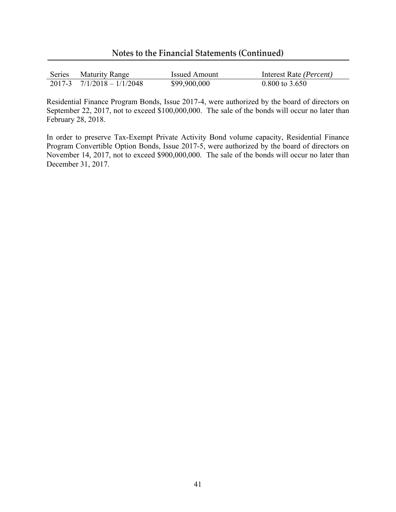| Series | <b>Maturity Range</b>            | Issued Amount | Interest Rate ( <i>Percent</i> ) |
|--------|----------------------------------|---------------|----------------------------------|
|        | $2017 - 3$ $7/1/2018 - 1/1/2048$ | \$99,900,000  | $0.800$ to 3.650                 |

Residential Finance Program Bonds, Issue 2017-4, were authorized by the board of directors on September 22, 2017, not to exceed \$100,000,000. The sale of the bonds will occur no later than February 28, 2018.

In order to preserve Tax-Exempt Private Activity Bond volume capacity, Residential Finance Program Convertible Option Bonds, Issue 2017-5, were authorized by the board of directors on November 14, 2017, not to exceed \$900,000,000. The sale of the bonds will occur no later than December 31, 2017.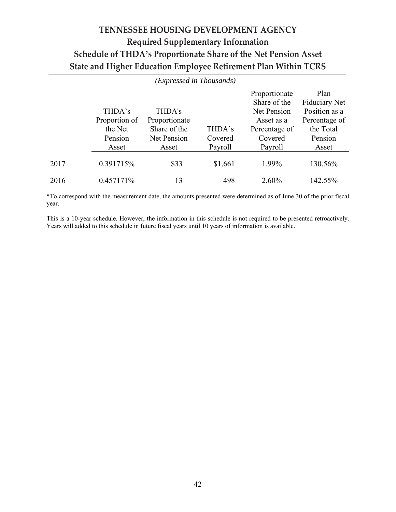# **TENNESSEE HOUSING DEVELOPMENT AGENCY Required Supplementary Information Schedule of THDA's Proportionate Share of the Net Pension Asset State and Higher Education Employee Retirement Plan Within TCRS**

|      |               |               |         | Proportionate | Plan                 |
|------|---------------|---------------|---------|---------------|----------------------|
|      |               |               |         | Share of the  | <b>Fiduciary Net</b> |
|      | THDA's        | THDA's        |         | Net Pension   | Position as a        |
|      | Proportion of | Proportionate |         | Asset as a    | Percentage of        |
|      | the Net       | Share of the  | THDA's  | Percentage of | the Total            |
|      | Pension       | Net Pension   | Covered | Covered       | Pension              |
|      | Asset         | Asset         | Payroll | Payroll       | Asset                |
|      |               |               |         |               |                      |
| 2017 | 0.391715%     | \$33          | \$1,661 | 1.99%         | 130.56%              |
| 2016 | 0.457171%     |               | 498     | 2.60%         | 142.55%              |
|      |               | 13            |         |               |                      |

 *(Expressed in Thousands)* 

\*To correspond with the measurement date, the amounts presented were determined as of June 30 of the prior fiscal year.

This is a 10-year schedule. However, the information in this schedule is not required to be presented retroactively. Years will added to this schedule in future fiscal years until 10 years of information is available.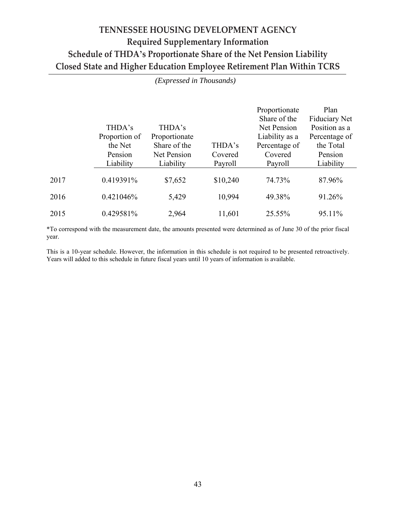# **TENNESSEE HOUSING DEVELOPMENT AGENCY Required Supplementary Information Schedule of THDA's Proportionate Share of the Net Pension Liability Closed State and Higher Education Employee Retirement Plan Within TCRS**

|      |               |               |          | Proportionate<br>Share of the | Plan<br><b>Fiduciary Net</b> |
|------|---------------|---------------|----------|-------------------------------|------------------------------|
|      | THDA's        | THDA's        |          | Net Pension                   | Position as a                |
|      | Proportion of | Proportionate |          | Liability as a                | Percentage of                |
|      | the Net       | Share of the  | THDA's   | Percentage of                 | the Total                    |
|      | Pension       | Net Pension   | Covered  | Covered                       | Pension                      |
|      | Liability     | Liability     | Payroll  | Payroll                       | Liability                    |
| 2017 | 0.419391%     | \$7,652       | \$10,240 | 74.73%                        | 87.96%                       |
| 2016 | 0.421046%     | 5,429         | 10,994   | 49.38%                        | 91.26%                       |
| 2015 | 0.429581%     | 2,964         | 11,601   | 25.55%                        | 95.11%                       |

 *(Expressed in Thousands)* 

\*To correspond with the measurement date, the amounts presented were determined as of June 30 of the prior fiscal year.

This is a 10-year schedule. However, the information in this schedule is not required to be presented retroactively. Years will added to this schedule in future fiscal years until 10 years of information is available.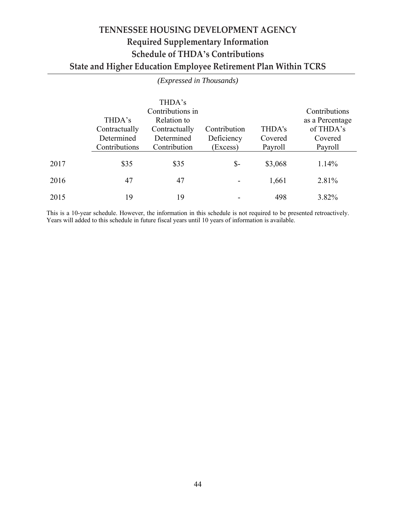# **TENNESSEE HOUSING DEVELOPMENT AGENCY Required Supplementary Information Schedule of THDA's Contributions State and Higher Education Employee Retirement Plan Within TCRS**

|      | THDA's<br>Contractually<br>Determined<br>Contributions | THDA's<br>Contributions in<br>Relation to<br>Contractually<br>Determined<br>Contribution | Contribution<br>Deficiency<br>Excess) | THDA's<br>Covered<br>Payroll | Contributions<br>as a Percentage<br>of THDA's<br>Covered<br>Payroll |
|------|--------------------------------------------------------|------------------------------------------------------------------------------------------|---------------------------------------|------------------------------|---------------------------------------------------------------------|
| 2017 | \$35                                                   | \$35                                                                                     | $\mathbb{S}$ -                        | \$3,068                      | 1.14%                                                               |
| 2016 | 47                                                     | 47                                                                                       | $\overline{\phantom{a}}$              | 1,661                        | 2.81%                                                               |
| 2015 | 19                                                     | 19                                                                                       |                                       | 498                          | 3.82%                                                               |

*(Expressed in Thousands)* 

This is a 10-year schedule. However, the information in this schedule is not required to be presented retroactively. Years will added to this schedule in future fiscal years until 10 years of information is available.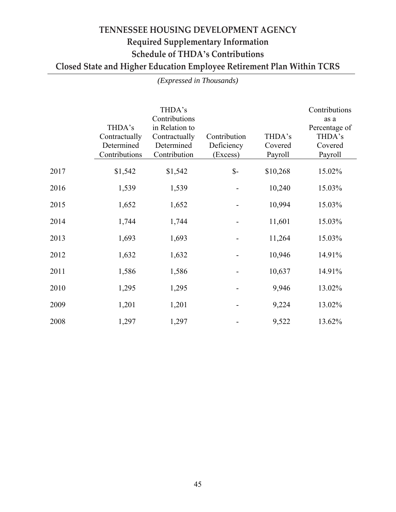# **TENNESSEE HOUSING DEVELOPMENT AGENCY Required Supplementary Information Schedule of THDA's Contributions Closed State and Higher Education Employee Retirement Plan Within TCRS**

|      | THDA's<br>Contractually<br>Determined<br>Contributions | THDA's<br>Contributions<br>in Relation to<br>Contractually<br>Determined<br>Contribution | Contribution<br>Deficiency<br>(Excess) | THDA's<br>Covered<br>Payroll | Contributions<br>as a<br>Percentage of<br>THDA's<br>Covered<br>Payroll |
|------|--------------------------------------------------------|------------------------------------------------------------------------------------------|----------------------------------------|------------------------------|------------------------------------------------------------------------|
| 2017 | \$1,542                                                | \$1,542                                                                                  | $\mathcal{S}$ -                        | \$10,268                     | 15.02%                                                                 |
| 2016 | 1,539                                                  | 1,539                                                                                    |                                        | 10,240                       | 15.03%                                                                 |
| 2015 | 1,652                                                  | 1,652                                                                                    |                                        | 10,994                       | 15.03%                                                                 |
| 2014 | 1,744                                                  | 1,744                                                                                    |                                        | 11,601                       | 15.03%                                                                 |
| 2013 | 1,693                                                  | 1,693                                                                                    |                                        | 11,264                       | 15.03%                                                                 |
| 2012 | 1,632                                                  | 1,632                                                                                    |                                        | 10,946                       | 14.91%                                                                 |
| 2011 | 1,586                                                  | 1,586                                                                                    |                                        | 10,637                       | 14.91%                                                                 |
| 2010 | 1,295                                                  | 1,295                                                                                    |                                        | 9,946                        | 13.02%                                                                 |
| 2009 | 1,201                                                  | 1,201                                                                                    |                                        | 9,224                        | 13.02%                                                                 |
| 2008 | 1,297                                                  | 1,297                                                                                    |                                        | 9,522                        | 13.62%                                                                 |

*(Expressed in Thousands)*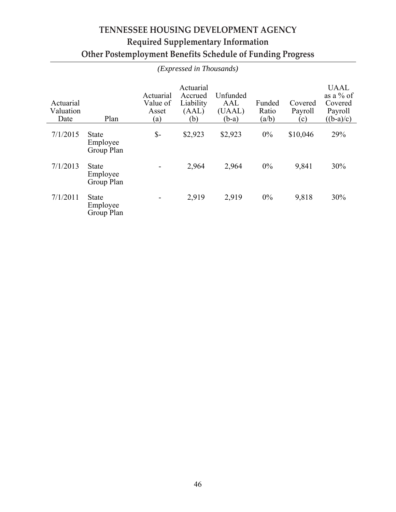# **TENNESSEE HOUSING DEVELOPMENT AGENCY Required Supplementary Information Other Postemployment Benefits Schedule of Funding Progress**

| Actuarial<br>Valuation<br>Date | Plan                            | Actuarial<br>Value of<br>Asset<br>(a) | Actuarial<br>Accrued<br>Liability<br>(AAL)<br>(b) | Unfunded<br>AAL<br>(UAAL)<br>$(b-a)$ | Funded<br>Ratio<br>(a/b) | Covered<br>Payroll<br>$\epsilon$ ) | <b>UAAL</b><br>as a $\%$ of<br>Covered<br>Payroll<br>$((b-a)/c)$ |
|--------------------------------|---------------------------------|---------------------------------------|---------------------------------------------------|--------------------------------------|--------------------------|------------------------------------|------------------------------------------------------------------|
| 7/1/2015                       | State<br>Employee<br>Group Plan | $\mathcal{S}$ -                       | \$2,923                                           | \$2,923                              | 0%                       | \$10,046                           | 29%                                                              |
| 7/1/2013                       | State<br>Employee<br>Group Plan |                                       | 2,964                                             | 2,964                                | 0%                       | 9,841                              | 30%                                                              |
| 7/1/2011                       | State<br>Employee<br>Group Plan |                                       | 2,919                                             | 2,919                                | 0%                       | 9,818                              | 30%                                                              |

*(Expressed in Thousands)*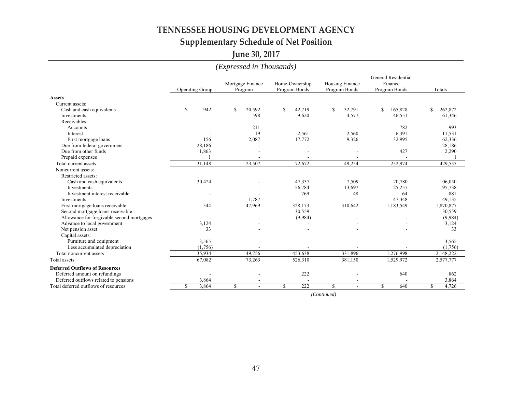### **TENNESSEE HOUSING DEVELOPMENT AGENCY**

# **Supplementary Schedule of Net Position**

**June 30, 2017**

# *(Expressed in Thousands)*

|                                           |     |                 |     |                             |             |                                 |     |                                  |    | General Residential      |             |           |
|-------------------------------------------|-----|-----------------|-----|-----------------------------|-------------|---------------------------------|-----|----------------------------------|----|--------------------------|-------------|-----------|
|                                           |     | Operating Group |     | Mortgage Finance<br>Program |             | Home-Ownership<br>Program Bonds |     | Housing Finance<br>Program Bonds |    | Finance<br>Program Bonds |             | Totals    |
| <b>Assets</b>                             |     |                 |     |                             |             |                                 |     |                                  |    |                          |             |           |
| Current assets:                           |     |                 |     |                             |             |                                 |     |                                  |    |                          |             |           |
| Cash and cash equivalents                 | \$  | 942             | \$  | 20,592                      | \$          | 42,719                          | \$  | 32,791                           | S  | 165,828                  | \$          | 262,872   |
| Investments                               |     |                 |     | 598                         |             | 9,620                           |     | 4,577                            |    | 46,551                   |             | 61,346    |
| Receivables:                              |     |                 |     |                             |             |                                 |     |                                  |    |                          |             |           |
| Accounts                                  |     |                 |     | 211                         |             |                                 |     |                                  |    | 782                      |             | 993       |
| Interest                                  |     |                 |     | 19                          |             | 2,561                           |     | 2,560                            |    | 6,391                    |             | 11,531    |
| First mortgage loans                      |     | 156             |     | 2,087                       |             | 17,772                          |     | 9,326                            |    | 32,995                   |             | 62,336    |
| Due from federal government               |     | 28,186          |     |                             |             |                                 |     |                                  |    |                          |             | 28,186    |
| Due from other funds                      |     | 1,863           |     |                             |             |                                 |     |                                  |    | 427                      |             | 2,290     |
| Prepaid expenses                          |     |                 |     | $\overline{\phantom{a}}$    |             |                                 |     |                                  |    |                          |             |           |
| Total current assets                      |     | 31,148          |     | 23,507                      |             | 72,672                          |     | 49,254                           |    | 252,974                  |             | 429,555   |
| Noncurrent assets:                        |     |                 |     |                             |             |                                 |     |                                  |    |                          |             |           |
| Restricted assets:                        |     |                 |     |                             |             |                                 |     |                                  |    |                          |             |           |
|                                           |     |                 |     |                             |             |                                 |     |                                  |    |                          |             |           |
| Cash and cash equivalents<br>Investments  |     | 30,424          |     |                             |             | 47,337                          |     | 7,509<br>13,697                  |    | 20,780                   |             | 106,050   |
|                                           |     |                 |     |                             |             | 56,784                          |     |                                  |    | 25,257                   |             | 95,738    |
| Investment interest receivable            |     |                 |     |                             |             | 769                             |     | 48                               |    | 64                       |             | 881       |
| Investments                               |     |                 |     | 1,787                       |             |                                 |     |                                  |    | 47,348                   |             | 49,135    |
| First mortgage loans receivable           |     | 544             |     | 47,969                      |             | 328,173                         |     | 310,642                          |    | 1,183,549                |             | 1,870,877 |
| Second mortgage loans receivable          |     |                 |     |                             |             | 30,559                          |     |                                  |    |                          |             | 30,559    |
| Allowance for forgivable second mortgages |     |                 |     |                             |             | (9,984)                         |     |                                  |    |                          |             | (9,984)   |
| Advance to local government               |     | 3,124           |     |                             |             |                                 |     |                                  |    |                          |             | 3,124     |
| Net pension asset                         |     | 33              |     |                             |             |                                 |     |                                  |    |                          |             | 33        |
| Capital assets:                           |     |                 |     |                             |             |                                 |     |                                  |    |                          |             |           |
| Furniture and equipment                   |     | 3,565           |     |                             |             |                                 |     |                                  |    |                          |             | 3,565     |
| Less accumulated depreciation             |     | (1,756)         |     |                             |             |                                 |     |                                  |    |                          |             | (1,756)   |
| Total noncurrent assets                   |     | 35,934          |     | 49,756                      |             | 453,638                         |     | 331,896                          |    | 1,276,998                |             | 2,148,222 |
| Total assets                              |     | 67,082          |     | 73,263                      |             | 526,310                         |     | 381,150                          |    | 1,529,972                |             | 2,577,777 |
| <b>Deferred Outflows of Resources</b>     |     |                 |     |                             |             |                                 |     |                                  |    |                          |             |           |
| Deferred amount on refundings             |     | ٠               |     |                             |             | 222                             |     |                                  |    | 640                      |             | 862       |
| Deferred outflows related to pensions     |     | 3,864           |     |                             |             |                                 |     |                                  |    |                          |             | 3,864     |
| Total deferred outflows of resources      | \$. | 3,864           | \$. | $\sim$                      | $\mathbf S$ | 222                             | \$. |                                  | \$ | 640                      | $\mathbf S$ | 4,726     |
|                                           |     |                 |     |                             |             |                                 |     |                                  |    |                          |             |           |

*(Continued)*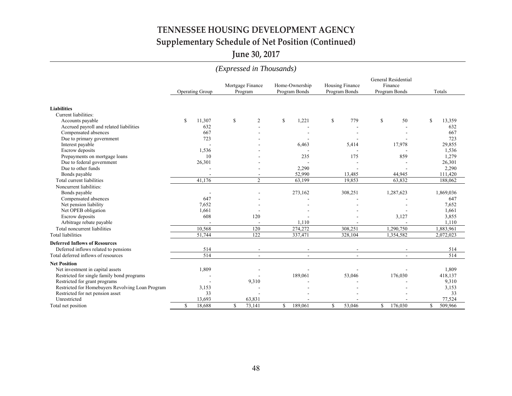# **TENNESSEE HOUSING DEVELOPMENT AGENCY Supplementary Schedule of Net Position (Continued)**

**June 30, 2017**

|                                                  |                         | Mortgage Finance         | Home-Ownership | Housing Finance        | General Residential<br>Finance |                         |
|--------------------------------------------------|-------------------------|--------------------------|----------------|------------------------|--------------------------------|-------------------------|
|                                                  | Operating Group         | Program                  | Program Bonds  | Program Bonds          | Program Bonds                  | Totals                  |
| <b>Liabilities</b>                               |                         |                          |                |                        |                                |                         |
| Current liabilities:                             |                         |                          |                |                        |                                |                         |
| Accounts payable                                 | 11,307<br><sup>\$</sup> | \$<br>$\overline{2}$     | \$<br>1,221    | S.<br>779              | \$<br>50                       | <sup>\$</sup><br>13,359 |
| Accrued payroll and related liabilities          | 632                     |                          |                |                        |                                | 632                     |
| Compensated absences                             | 667                     |                          |                |                        |                                | 667                     |
| Due to primary government                        | 723                     |                          |                |                        |                                | 723                     |
| Interest payable                                 |                         |                          | 6,463          | 5,414                  | 17,978                         | 29,855                  |
| Escrow deposits                                  | 1,536                   |                          |                |                        |                                | 1,536                   |
| Prepayments on mortgage loans                    | 10                      |                          | 235            | 175                    | 859                            | 1,279                   |
| Due to federal government                        | 26,301                  |                          |                |                        |                                | 26,301                  |
| Due to other funds                               |                         |                          | 2,290          |                        |                                | 2,290                   |
| Bonds payable                                    |                         |                          | 52,990         | 13,485                 | 44,945                         | 111,420                 |
| Total current liabilities                        | 41,176                  | $\overline{2}$           | 63,199         | 19,853                 | 63,832                         | 188,062                 |
| Noncurrent liabilities:                          |                         |                          |                |                        |                                |                         |
| Bonds payable                                    |                         |                          | 273,162        | 308,251                | 1,287,623                      | 1,869,036               |
| Compensated absences                             | 647                     |                          |                |                        |                                | 647                     |
| Net pension liability                            | 7,652                   |                          |                |                        |                                | 7,652                   |
| Net OPEB obligation                              | 1,661                   |                          |                |                        |                                | 1,661                   |
| Escrow deposits                                  | 608                     | 120                      |                |                        | 3,127                          | 3,855                   |
| Arbitrage rebate payable                         |                         |                          | 1,110          |                        |                                | 1.110                   |
| Total noncurrent liabilities                     | 10,568                  | 120                      | 274,272        | 308,251                | 1,290,750                      | 1,883,961               |
| <b>Total liabilities</b>                         | 51,744                  | 122                      | 337,471        | 328,104                | 1,354,582                      | 2,072,023               |
| <b>Deferred Inflows of Resources</b>             |                         |                          |                |                        |                                |                         |
| Deferred inflows related to pensions             | 514                     |                          |                |                        |                                | 514                     |
| Total deferred inflows of resources              | 514                     | $\overline{\phantom{a}}$ | $\blacksquare$ |                        |                                | 514                     |
| <b>Net Position</b>                              |                         |                          |                |                        |                                |                         |
| Net investment in capital assets                 | 1,809                   |                          |                |                        |                                | 1,809                   |
| Restricted for single family bond programs       |                         |                          | 189,061        | 53,046                 | 176,030                        | 418,137                 |
| Restricted for grant programs                    |                         | 9,310                    |                |                        |                                | 9,310                   |
| Restricted for Homebuyers Revolving Loan Program | 3,153                   |                          |                |                        |                                | 3,153                   |
| Restricted for net pension asset                 | 33                      |                          |                |                        |                                | 33                      |
| Unrestricted                                     | 13,693                  | 63,831                   |                |                        |                                | 77,524                  |
| Total net position                               | 18.688<br>\$            | S<br>73,141              | S.<br>189,061  | $\mathbb{S}$<br>53,046 | 176,030<br>\$                  | 509.966<br>S            |

### *(Expressed in Thousands)*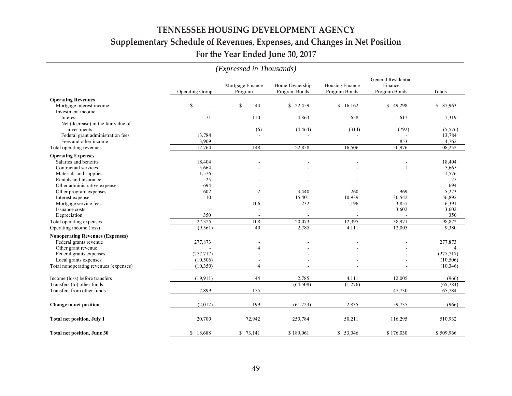# **TENNESSEE HOUSING DEVELOPMENT AGENCY Supplementary Schedule of Revenues, Expenses, and Changes in Net Position For the Year Ended June 30, 2017**

|                                         |                 |                          |                |                 | General Residential |            |
|-----------------------------------------|-----------------|--------------------------|----------------|-----------------|---------------------|------------|
|                                         |                 | Mortgage Finance         | Home-Ownership | Housing Finance | Finance             |            |
|                                         | Operating Group | Program                  | Program Bonds  | Program Bonds   | Program Bonds       | Totals     |
| <b>Operating Revenues</b>               |                 |                          |                |                 |                     |            |
| Mortgage interest income                | \$              | \$<br>44                 | \$22,459       | \$16,162        | \$49,298            | \$87,963   |
| Investment income:                      |                 |                          |                |                 |                     |            |
| Interest                                | 71              | 110                      | 4,863          | 658             | 1,617               | 7,319      |
| Net (decrease) in the fair value of     |                 |                          |                |                 |                     |            |
| investments                             |                 | (6)                      | (4, 464)       | (314)           | (792)               | (5,576)    |
| Federal grant administration fees       | 13,784          |                          |                |                 |                     | 13,784     |
| Fees and other income                   | 3,909           |                          |                |                 | 853                 | 4,762      |
| Total operating revenues                | 17,764          | 148                      | 22,858         | 16,506          | 50,976              | 108,252    |
| <b>Operating Expenses</b>               |                 |                          |                |                 |                     |            |
| Salaries and benefits                   | 18,404          |                          |                |                 |                     | 18,404     |
| Contractual services                    | 5,664           |                          |                |                 |                     | 5,665      |
| Materials and supplies                  | 1,576           |                          |                |                 |                     | 1,576      |
| Rentals and insurance                   | 25              |                          |                |                 |                     | 25         |
| Other administrative expenses           | 694             |                          |                |                 |                     | 694        |
| Other program expenses                  | 602             | $\overline{2}$           | 3,440          | 260             | 969                 | 5,273      |
| Interest expense                        | 10              |                          | 15,401         | 10,939          | 30,542              | 56,892     |
| Mortgage service fees                   |                 | 106                      | 1,232          | 1,196           | 3,857               | 6,391      |
| Issuance costs                          |                 |                          |                |                 | 3,602               | 3,602      |
| Depreciation                            | 350             | $\overline{\phantom{a}}$ |                |                 |                     | 350        |
| Total operating expenses                | 27,325          | 108                      | 20,073         | 12,395          | 38,971              | 98,872     |
| Operating income (loss)                 | (9, 561)        | 40                       | 2,785          | 4,111           | 12,005              | 9,380      |
| <b>Nonoperating Revenues (Expenses)</b> |                 |                          |                |                 |                     |            |
| Federal grants revenue                  | 277,873         |                          |                |                 |                     | 277,873    |
| Other grant revenue                     |                 | $\overline{4}$           |                |                 |                     | 4          |
| Federal grants expenses                 | (277, 717)      |                          |                |                 |                     | (277, 717) |
| Local grants expenses                   | (10, 506)       |                          |                |                 |                     | (10, 506)  |
| Total nonoperating revenues (expenses)  | (10, 350)       | $\overline{4}$           | $\sim$         | $\sim$          | $\sim$              | (10, 346)  |
|                                         |                 |                          |                |                 |                     |            |
| Income (loss) before transfers          | (19, 911)       | 44                       | 2,785          | 4,111           | 12,005              | (966)      |
| Transfers (to) other funds              |                 | $\sim$                   | (64, 508)      | (1,276)         |                     | (65, 784)  |
| Transfers from other funds              | 17,899          | 155                      |                | $\overline{a}$  | 47,730              | 65,784     |
|                                         |                 |                          |                |                 |                     |            |
| Change in net position                  | (2,012)         | 199                      | (61, 723)      | 2,835           | 59,735              | (966)      |
| Total net position, July 1              | 20,700          | 72,942                   | 250,784        | 50,211          | 116,295             | 510,932    |
|                                         |                 |                          |                |                 |                     |            |
| <b>Total net position, June 30</b>      | \$18,688        | \$73,141                 | \$189,061      | \$53,046        | \$176,030           | \$509,966  |

*(Expressed in Thousands)*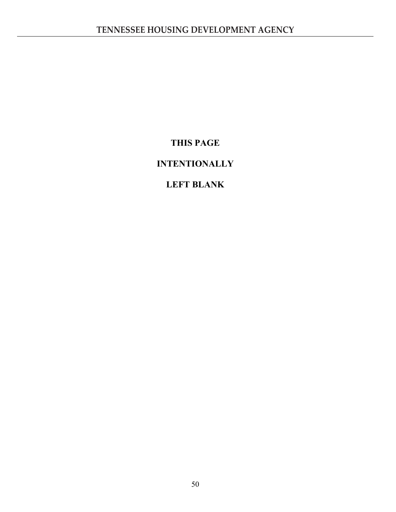# **THIS PAGE**

# **INTENTIONALLY**

# **LEFT BLANK**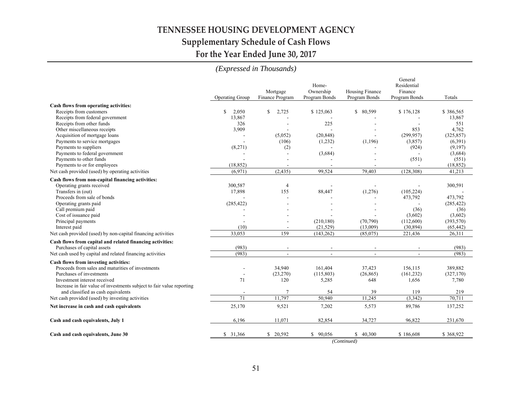# **TENNESSEE HOUSING DEVELOPMENT AGENCY Supplementary Schedule of Cash Flows**

### **For the Year Ended June 30, 2017**

# *(Expressed in Thousands)*

|                                                                       |                 |                             | Home-                      |                                  | General<br>Residential   |            |
|-----------------------------------------------------------------------|-----------------|-----------------------------|----------------------------|----------------------------------|--------------------------|------------|
|                                                                       | Operating Group | Mortgage<br>Finance Program | Ownership<br>Program Bonds | Housing Finance<br>Program Bonds | Finance<br>Program Bonds | Totals     |
| Cash flows from operating activities:                                 |                 |                             |                            |                                  |                          |            |
| Receipts from customers                                               | \$<br>2,050     | S.<br>2,725                 | \$125,063                  | \$ 80,599                        | \$176,128                | \$386,565  |
| Receipts from federal government                                      | 13,867          |                             |                            |                                  |                          | 13,867     |
| Receipts from other funds                                             | 326             |                             | 225                        |                                  | ÷,                       | 551        |
| Other miscellaneous receipts                                          | 3,909           |                             |                            |                                  | 853                      | 4,762      |
| Acquisition of mortgage loans                                         |                 | (5,052)                     | (20, 848)                  |                                  | (299.957)                | (325, 857) |
| Payments to service mortgages                                         |                 | (106)                       | (1,232)                    | (1,196)                          | (3,857)                  | (6,391)    |
| Payments to suppliers                                                 | (8,271)         | (2)                         |                            |                                  | (924)                    | (9,197)    |
| Payments to federal government                                        |                 |                             | (3,684)                    |                                  |                          | (3,684)    |
| Payments to other funds                                               |                 |                             |                            |                                  | (551)                    | (551)      |
| Payments to or for employees                                          | (18, 852)       |                             |                            |                                  |                          | (18, 852)  |
| Net cash provided (used) by operating activities                      | (6,971)         | (2, 435)                    | 99,524                     | 79,403                           | (128, 308)               | 41,213     |
| Cash flows from non-capital financing activities:                     |                 |                             |                            |                                  |                          |            |
| Operating grants received                                             | 300,587         | 4                           |                            |                                  |                          | 300,591    |
| Transfers in (out)                                                    | 17,898          | 155                         | 88,447                     | (1,276)                          | (105, 224)               |            |
| Proceeds from sale of bonds                                           |                 |                             |                            |                                  | 473,792                  | 473,792    |
| Operating grants paid                                                 | (285, 422)      |                             |                            |                                  |                          | (285, 422) |
| Call premium paid                                                     |                 |                             |                            |                                  | (36)                     | (36)       |
| Cost of issuance paid                                                 |                 |                             |                            |                                  | (3,602)                  | (3,602)    |
| Principal payments                                                    |                 |                             | (210, 180)                 | (70, 790)                        | (112,600)                | (393, 570) |
| Interest paid                                                         | (10)            | $\overline{a}$              | (21, 529)                  | (13,009)                         | (30, 894)                | (65, 442)  |
| Net cash provided (used) by non-capital financing activities          | 33.053          | 159                         | (143, 262)                 | (85,075)                         | 221,436                  | 26,311     |
| Cash flows from capital and related financing activities:             |                 |                             |                            |                                  |                          |            |
| Purchases of capital assets                                           | (983)           |                             |                            |                                  |                          | (983)      |
| Net cash used by capital and related financing activities             | (983)           | $\sim$                      | $\sim$                     | ÷,                               | $\overline{\phantom{a}}$ | (983)      |
| Cash flows from investing activities:                                 |                 |                             |                            |                                  |                          |            |
| Proceeds from sales and maturities of investments                     |                 | 34,940                      | 161.404                    | 37,423                           | 156,115                  | 389,882    |
| Purchases of investments                                              |                 | (23, 270)                   | (115, 803)                 | (26, 865)                        | (161, 232)               | (327, 170) |
| Investment interest received                                          | 71              | 120                         | 5,285                      | 648                              | 1,656                    | 7,780      |
| Increase in fair value of investments subject to fair value reporting |                 |                             |                            |                                  |                          |            |
| and classified as cash equivalents                                    |                 | $\overline{7}$              | 54                         | 39                               | 119                      | 219        |
| Net cash provided (used) by investing activities                      | 71              | 11.797                      | 50,940                     | 11,245                           | (3,342)                  | 70,711     |
| Net increase in cash and cash equivalents                             | 25,170          | 9,521                       | 7,202                      | 5,573                            | 89,786                   | 137,252    |
| Cash and cash equivalents, July 1                                     | 6,196           | 11,071                      | 82,854                     | 34,727                           | 96,822                   | 231,670    |
| Cash and cash equivalents, June 30                                    | \$31,366        | \$20,592                    | \$90,056                   | \$40,300                         | \$186,608                | \$368,922  |
|                                                                       |                 |                             |                            | (Continued)                      |                          |            |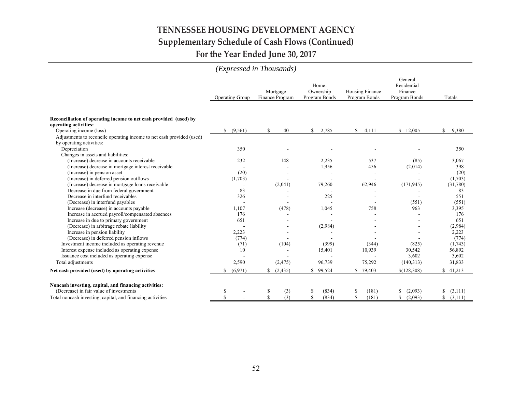# **TENNESSEE HOUSING DEVELOPMENT AGENCY Supplementary Schedule of Cash Flows (Continued) For the Year Ended June 30, 2017**

# *(Expressed in Thousands)*

|                                                                       |                 | Mortgage                  | Home-<br>Ownership   | Housing Finance      | General<br>Residential<br>Finance |                         |
|-----------------------------------------------------------------------|-----------------|---------------------------|----------------------|----------------------|-----------------------------------|-------------------------|
|                                                                       | Operating Group | Finance Program           | Program Bonds        | Program Bonds        | Program Bonds                     | Totals                  |
|                                                                       |                 |                           |                      |                      |                                   |                         |
|                                                                       |                 |                           |                      |                      |                                   |                         |
| Reconciliation of operating income to net cash provided (used) by     |                 |                           |                      |                      |                                   |                         |
| operating activities:                                                 |                 |                           |                      |                      |                                   |                         |
| Operating income (loss)                                               | (9,561)<br>\$   | \$<br>40                  | 2,785<br>\$          | \$<br>4,111          | \$12,005                          | <sup>\$</sup><br>9,380  |
| Adjustments to reconcile operating income to net cash provided (used) |                 |                           |                      |                      |                                   |                         |
| by operating activities:                                              |                 |                           |                      |                      |                                   |                         |
| Depreciation                                                          | 350             |                           |                      |                      |                                   | 350                     |
| Changes in assets and liabilities:                                    |                 |                           |                      |                      |                                   |                         |
| (Increase) decrease in accounts receivable                            | 232             | 148                       | 2,235                | 537                  | (85)                              | 3,067                   |
| (Increase) decrease in mortgage interest receivable                   | ٠               |                           | 1,956                | 456                  | (2,014)                           | 398                     |
| (Increase) in pension asset                                           | (20)            |                           |                      |                      |                                   | (20)                    |
| (Increase) in deferred pension outflows                               | (1,703)         |                           |                      |                      |                                   | (1,703)                 |
| (Increase) decrease in mortgage loans receivable                      |                 | (2,041)                   | 79,260               | 62,946               | (171, 945)                        | (31,780)                |
| Decrease in due from federal government                               | 83              |                           |                      |                      |                                   | 83                      |
| Decrease in interfund receivables                                     | 326             |                           | 225                  |                      |                                   | 551                     |
| (Decrease) in interfund payables                                      |                 |                           |                      |                      | (551)                             | (551)                   |
| Increase (decrease) in accounts payable                               | 1,107           | (478)                     | 1,045                | 758                  | 963                               | 3,395                   |
| Increase in accrued payroll/compensated absences                      | 176             |                           |                      |                      |                                   | 176                     |
| Increase in due to primary government                                 | 651             |                           |                      |                      |                                   | 651                     |
| (Decrease) in arbitrage rebate liability                              |                 |                           | (2,984)              |                      |                                   | (2,984)                 |
| Increase in pension liability                                         | 2,223           |                           |                      |                      |                                   | 2,223                   |
| (Decrease) in deferred pension inflows                                | (774)           |                           |                      |                      |                                   | (774)                   |
| Investment income included as operating revenue                       | (71)            | (104)                     | (399)                | (344)                | (825)                             | (1,743)                 |
| Interest expense included as operating expense                        | 10              |                           | 15,401               | 10,939               | 30,542                            | 56,892                  |
| Issuance cost included as operating expense                           |                 |                           |                      |                      | 3.602                             | 3,602                   |
| Total adjustments                                                     | 2,590           | (2, 475)                  | 96,739               | 75,292               | (140, 313)                        | 31,833                  |
| Net cash provided (used) by operating activities                      | (6,971)<br>\$.  | $\mathbb{S}$<br>(2, 435)  | \$99,524             | \$79,403             | \$(128,308)                       | \$41,213                |
| Noncash investing, capital, and financing activities:                 |                 |                           |                      |                      |                                   |                         |
| (Decrease) in fair value of investments                               |                 | \$<br>(3)                 | (834)<br>\$          | \$<br>(181)          | (2,093)<br>\$                     | (3,111)<br>\$           |
|                                                                       |                 | $\mathbf{\hat{s}}$<br>(3) | $\mathbf S$<br>(834) | $\mathbf S$<br>(181) | $\mathbb{S}$<br>(2,093)           | $\mathbb{S}$<br>(3,111) |
| Total noncash investing, capital, and financing activities            |                 |                           |                      |                      |                                   |                         |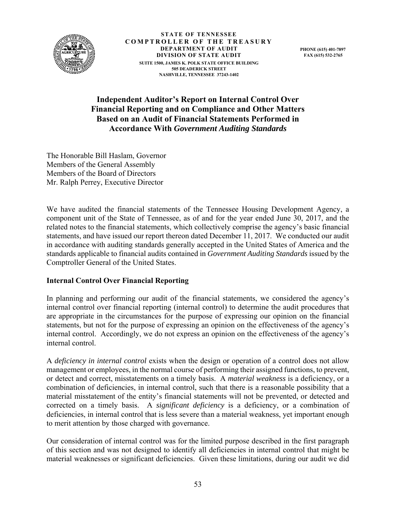

**STATE OF TENNESSEE COMPTROLLER OF THE TREASURY DEPARTMENT OF AUDIT DIVISION OF STATE AUDIT SUITE 1500, JAMES K. POLK STATE OFFICE BUILDING 505 DEADERICK STREET NASHVILLE, TENNESSEE 37243-1402** 

**PHONE (615) 401-7897 FAX (615) 532-2765** 

### **Independent Auditor's Report on Internal Control Over Financial Reporting and on Compliance and Other Matters Based on an Audit of Financial Statements Performed in Accordance With** *Government Auditing Standards*

The Honorable Bill Haslam, Governor Members of the General Assembly Members of the Board of Directors Mr. Ralph Perrey, Executive Director

We have audited the financial statements of the Tennessee Housing Development Agency, a component unit of the State of Tennessee, as of and for the year ended June 30, 2017, and the related notes to the financial statements, which collectively comprise the agency's basic financial statements, and have issued our report thereon dated December 11, 2017. We conducted our audit in accordance with auditing standards generally accepted in the United States of America and the standards applicable to financial audits contained in *Government Auditing Standards* issued by the Comptroller General of the United States.

### **Internal Control Over Financial Reporting**

In planning and performing our audit of the financial statements, we considered the agency's internal control over financial reporting (internal control) to determine the audit procedures that are appropriate in the circumstances for the purpose of expressing our opinion on the financial statements, but not for the purpose of expressing an opinion on the effectiveness of the agency's internal control. Accordingly, we do not express an opinion on the effectiveness of the agency's internal control.

A *deficiency in internal control* exists when the design or operation of a control does not allow management or employees, in the normal course of performing their assigned functions, to prevent, or detect and correct, misstatements on a timely basis. A *material weakness* is a deficiency, or a combination of deficiencies, in internal control, such that there is a reasonable possibility that a material misstatement of the entity's financial statements will not be prevented, or detected and corrected on a timely basis. A *significant deficiency* is a deficiency, or a combination of deficiencies, in internal control that is less severe than a material weakness, yet important enough to merit attention by those charged with governance.

Our consideration of internal control was for the limited purpose described in the first paragraph of this section and was not designed to identify all deficiencies in internal control that might be material weaknesses or significant deficiencies. Given these limitations, during our audit we did